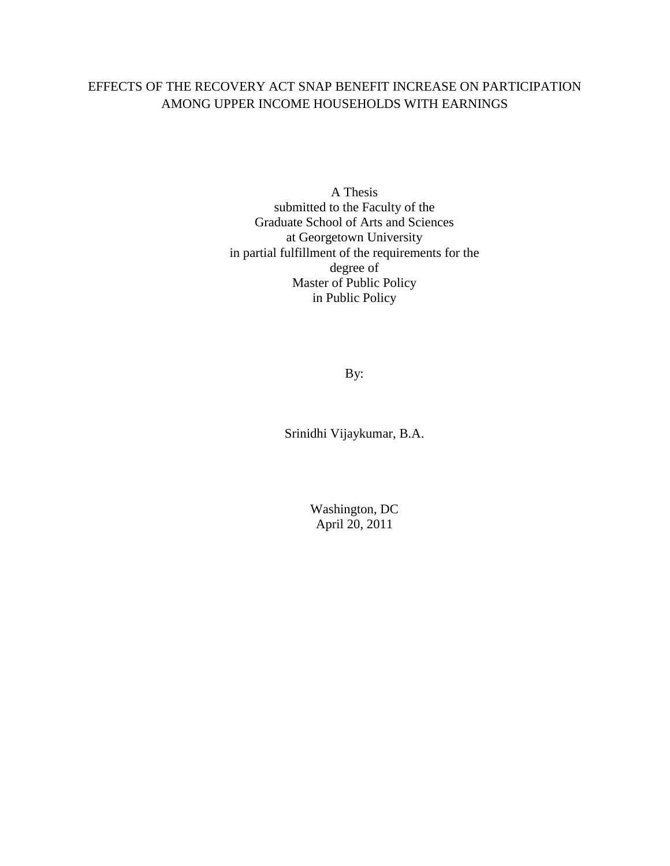## EFFECTS OF THE RECOVERY ACT SNAP BENEFIT INCREASE ON PARTICIPATION AMONG UPPER INCOME HOUSEHOLDS WITH EARNINGS

A Thesis submitted to the Faculty of the Graduate School of Arts and Sciences at Georgetown University in partial fulfillment of the requirements for the degree of Master of Public Policy in Public Policy

By:

Srinidhi Vijaykumar, B.A.

Washington, DC April 20, 2011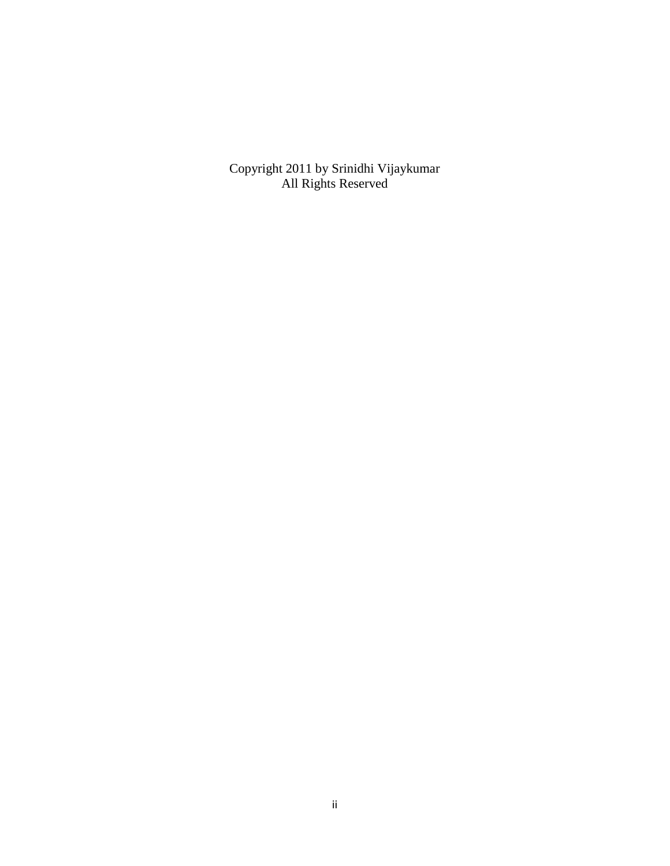Copyright 2011 by Srinidhi Vijaykumar All Rights Reserved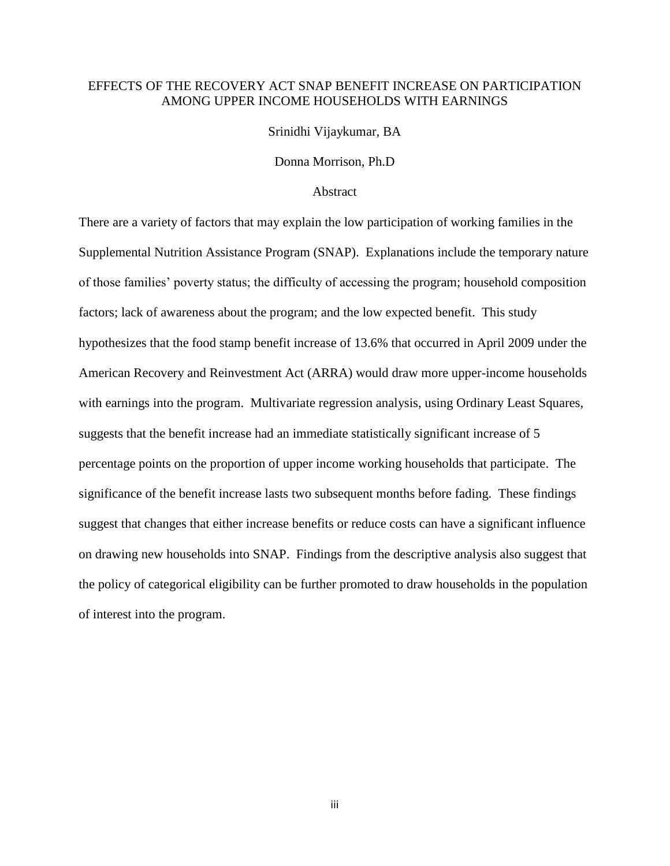### EFFECTS OF THE RECOVERY ACT SNAP BENEFIT INCREASE ON PARTICIPATION AMONG UPPER INCOME HOUSEHOLDS WITH EARNINGS

Srinidhi Vijaykumar, BA

Donna Morrison, Ph.D

### **Abstract**

There are a variety of factors that may explain the low participation of working families in the Supplemental Nutrition Assistance Program (SNAP). Explanations include the temporary nature of those families' poverty status; the difficulty of accessing the program; household composition factors; lack of awareness about the program; and the low expected benefit. This study hypothesizes that the food stamp benefit increase of 13.6% that occurred in April 2009 under the American Recovery and Reinvestment Act (ARRA) would draw more upper-income households with earnings into the program. Multivariate regression analysis, using Ordinary Least Squares, suggests that the benefit increase had an immediate statistically significant increase of 5 percentage points on the proportion of upper income working households that participate. The significance of the benefit increase lasts two subsequent months before fading. These findings suggest that changes that either increase benefits or reduce costs can have a significant influence on drawing new households into SNAP. Findings from the descriptive analysis also suggest that the policy of categorical eligibility can be further promoted to draw households in the population of interest into the program.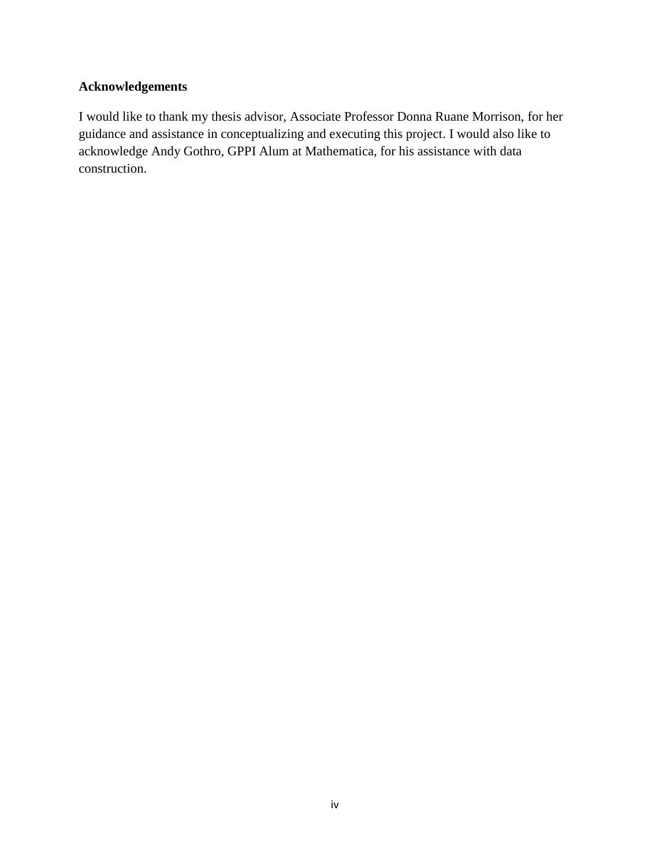## **Acknowledgements**

I would like to thank my thesis advisor, Associate Professor Donna Ruane Morrison, for her guidance and assistance in conceptualizing and executing this project. I would also like to acknowledge Andy Gothro, GPPI Alum at Mathematica, for his assistance with data construction.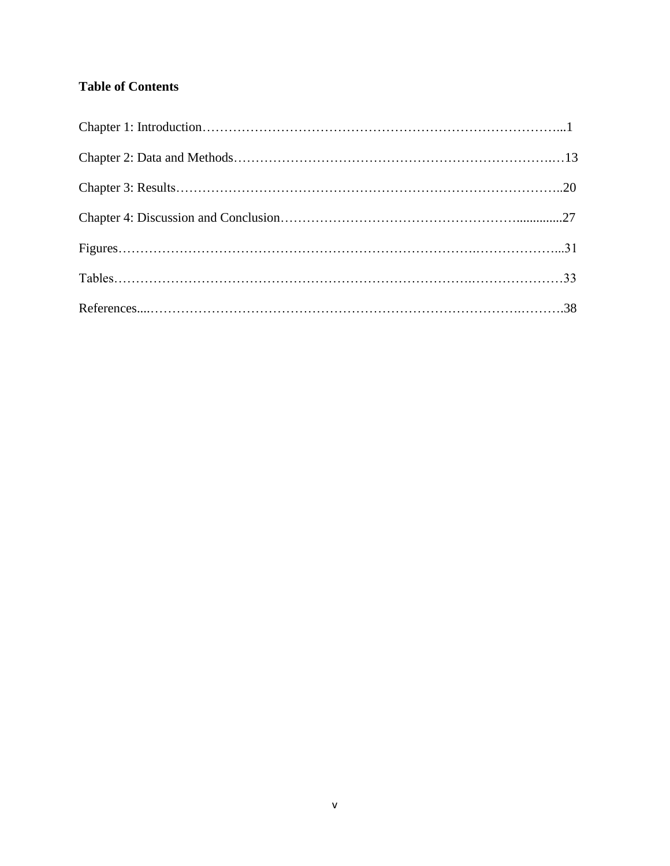# **Table of Contents**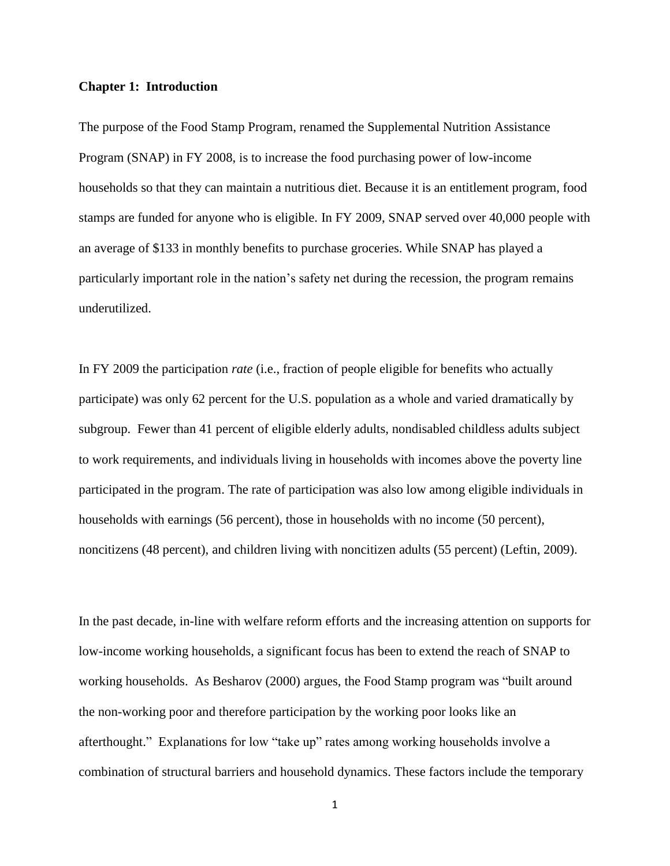#### **Chapter 1: Introduction**

The purpose of the Food Stamp Program, renamed the Supplemental Nutrition Assistance Program (SNAP) in FY 2008, is to increase the food purchasing power of low-income households so that they can maintain a nutritious diet. Because it is an entitlement program, food stamps are funded for anyone who is eligible. In FY 2009, SNAP served over 40,000 people with an average of \$133 in monthly benefits to purchase groceries. While SNAP has played a particularly important role in the nation's safety net during the recession, the program remains underutilized.

In FY 2009 the participation *rate* (i.e., fraction of people eligible for benefits who actually participate) was only 62 percent for the U.S. population as a whole and varied dramatically by subgroup. Fewer than 41 percent of eligible elderly adults, nondisabled childless adults subject to work requirements, and individuals living in households with incomes above the poverty line participated in the program. The rate of participation was also low among eligible individuals in households with earnings (56 percent), those in households with no income (50 percent), noncitizens (48 percent), and children living with noncitizen adults (55 percent) (Leftin, 2009).

In the past decade, in-line with welfare reform efforts and the increasing attention on supports for low-income working households, a significant focus has been to extend the reach of SNAP to working households. As Besharov (2000) argues, the Food Stamp program was "built around the non-working poor and therefore participation by the working poor looks like an afterthought." Explanations for low "take up" rates among working households involve a combination of structural barriers and household dynamics. These factors include the temporary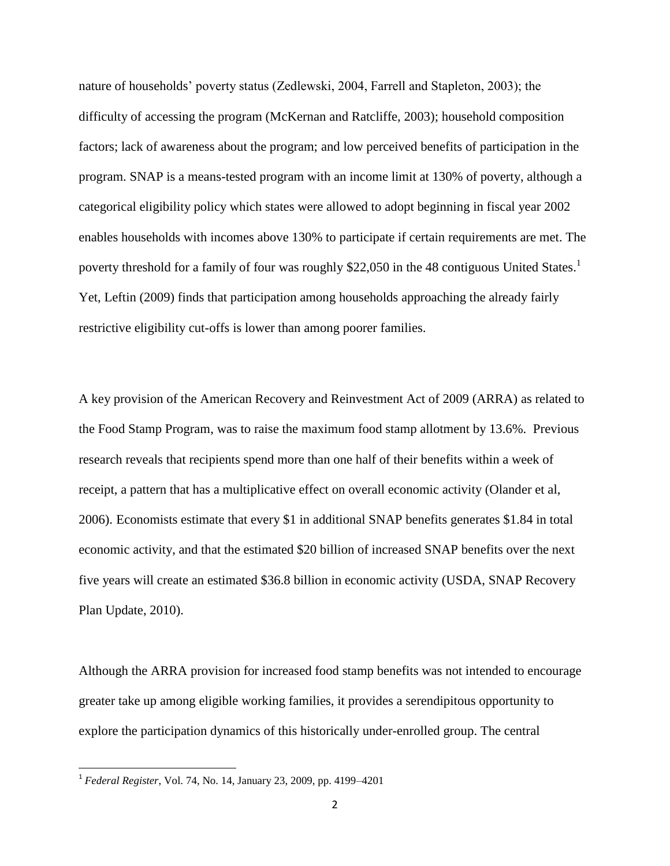nature of households' poverty status (Zedlewski, 2004, Farrell and Stapleton, 2003); the difficulty of accessing the program (McKernan and Ratcliffe, 2003); household composition factors; lack of awareness about the program; and low perceived benefits of participation in the program. SNAP is a means-tested program with an income limit at 130% of poverty, although a categorical eligibility policy which states were allowed to adopt beginning in fiscal year 2002 enables households with incomes above 130% to participate if certain requirements are met. The poverty threshold for a family of four was roughly \$22,050 in the 48 contiguous United States.<sup>1</sup> Yet, Leftin (2009) finds that participation among households approaching the already fairly restrictive eligibility cut-offs is lower than among poorer families.

A key provision of the American Recovery and Reinvestment Act of 2009 (ARRA) as related to the Food Stamp Program, was to raise the maximum food stamp allotment by 13.6%. Previous research reveals that recipients spend more than one half of their benefits within a week of receipt, a pattern that has a multiplicative effect on overall economic activity (Olander et al, 2006). Economists estimate that every \$1 in additional SNAP benefits generates \$1.84 in total economic activity, and that the estimated \$20 billion of increased SNAP benefits over the next five years will create an estimated \$36.8 billion in economic activity (USDA, SNAP Recovery Plan Update, 2010).

Although the ARRA provision for increased food stamp benefits was not intended to encourage greater take up among eligible working families, it provides a serendipitous opportunity to explore the participation dynamics of this historically under-enrolled group. The central

 $\overline{\phantom{a}}$ 

<sup>1</sup> *Federal Register*, Vol. 74, No. 14, January 23, 2009, pp. 4199–4201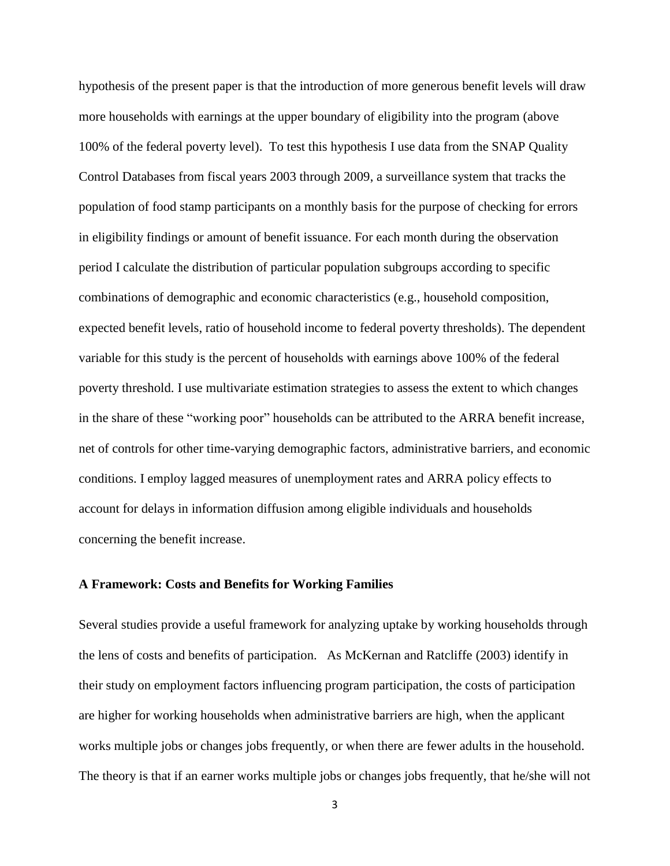hypothesis of the present paper is that the introduction of more generous benefit levels will draw more households with earnings at the upper boundary of eligibility into the program (above 100% of the federal poverty level). To test this hypothesis I use data from the SNAP Quality Control Databases from fiscal years 2003 through 2009, a surveillance system that tracks the population of food stamp participants on a monthly basis for the purpose of checking for errors in eligibility findings or amount of benefit issuance. For each month during the observation period I calculate the distribution of particular population subgroups according to specific combinations of demographic and economic characteristics (e.g., household composition, expected benefit levels, ratio of household income to federal poverty thresholds). The dependent variable for this study is the percent of households with earnings above 100% of the federal poverty threshold. I use multivariate estimation strategies to assess the extent to which changes in the share of these "working poor" households can be attributed to the ARRA benefit increase, net of controls for other time-varying demographic factors, administrative barriers, and economic conditions. I employ lagged measures of unemployment rates and ARRA policy effects to account for delays in information diffusion among eligible individuals and households concerning the benefit increase.

### **A Framework: Costs and Benefits for Working Families**

Several studies provide a useful framework for analyzing uptake by working households through the lens of costs and benefits of participation. As McKernan and Ratcliffe (2003) identify in their study on employment factors influencing program participation, the costs of participation are higher for working households when administrative barriers are high, when the applicant works multiple jobs or changes jobs frequently, or when there are fewer adults in the household. The theory is that if an earner works multiple jobs or changes jobs frequently, that he/she will not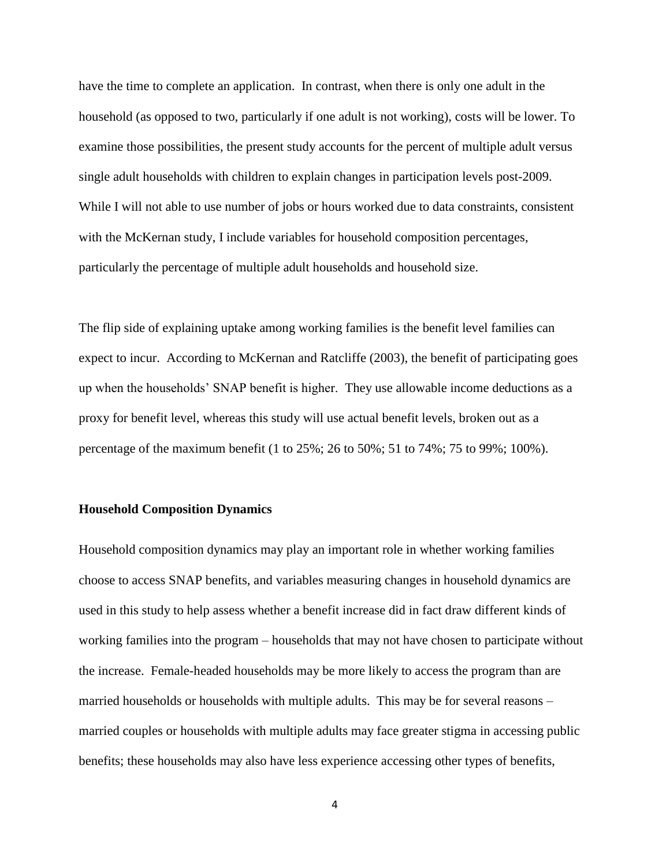have the time to complete an application. In contrast, when there is only one adult in the household (as opposed to two, particularly if one adult is not working), costs will be lower. To examine those possibilities, the present study accounts for the percent of multiple adult versus single adult households with children to explain changes in participation levels post-2009. While I will not able to use number of jobs or hours worked due to data constraints, consistent with the McKernan study, I include variables for household composition percentages, particularly the percentage of multiple adult households and household size.

The flip side of explaining uptake among working families is the benefit level families can expect to incur. According to McKernan and Ratcliffe (2003), the benefit of participating goes up when the households' SNAP benefit is higher. They use allowable income deductions as a proxy for benefit level, whereas this study will use actual benefit levels, broken out as a percentage of the maximum benefit (1 to 25%; 26 to 50%; 51 to 74%; 75 to 99%; 100%).

#### **Household Composition Dynamics**

Household composition dynamics may play an important role in whether working families choose to access SNAP benefits, and variables measuring changes in household dynamics are used in this study to help assess whether a benefit increase did in fact draw different kinds of working families into the program – households that may not have chosen to participate without the increase. Female-headed households may be more likely to access the program than are married households or households with multiple adults. This may be for several reasons – married couples or households with multiple adults may face greater stigma in accessing public benefits; these households may also have less experience accessing other types of benefits,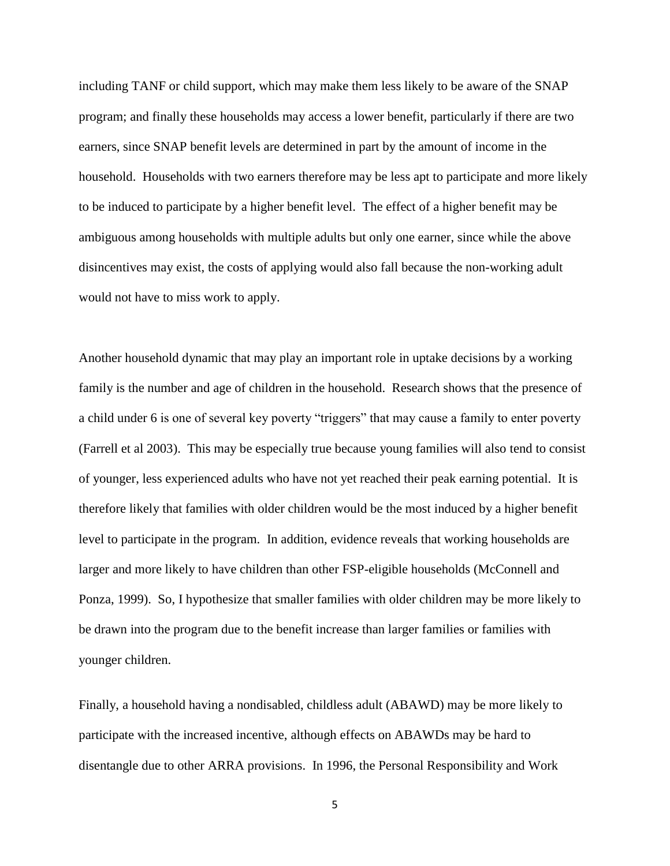including TANF or child support, which may make them less likely to be aware of the SNAP program; and finally these households may access a lower benefit, particularly if there are two earners, since SNAP benefit levels are determined in part by the amount of income in the household. Households with two earners therefore may be less apt to participate and more likely to be induced to participate by a higher benefit level. The effect of a higher benefit may be ambiguous among households with multiple adults but only one earner, since while the above disincentives may exist, the costs of applying would also fall because the non-working adult would not have to miss work to apply.

Another household dynamic that may play an important role in uptake decisions by a working family is the number and age of children in the household. Research shows that the presence of a child under 6 is one of several key poverty "triggers" that may cause a family to enter poverty (Farrell et al 2003). This may be especially true because young families will also tend to consist of younger, less experienced adults who have not yet reached their peak earning potential. It is therefore likely that families with older children would be the most induced by a higher benefit level to participate in the program. In addition, evidence reveals that working households are larger and more likely to have children than other FSP-eligible households (McConnell and Ponza, 1999). So, I hypothesize that smaller families with older children may be more likely to be drawn into the program due to the benefit increase than larger families or families with younger children.

Finally, a household having a nondisabled, childless adult (ABAWD) may be more likely to participate with the increased incentive, although effects on ABAWDs may be hard to disentangle due to other ARRA provisions. In 1996, the Personal Responsibility and Work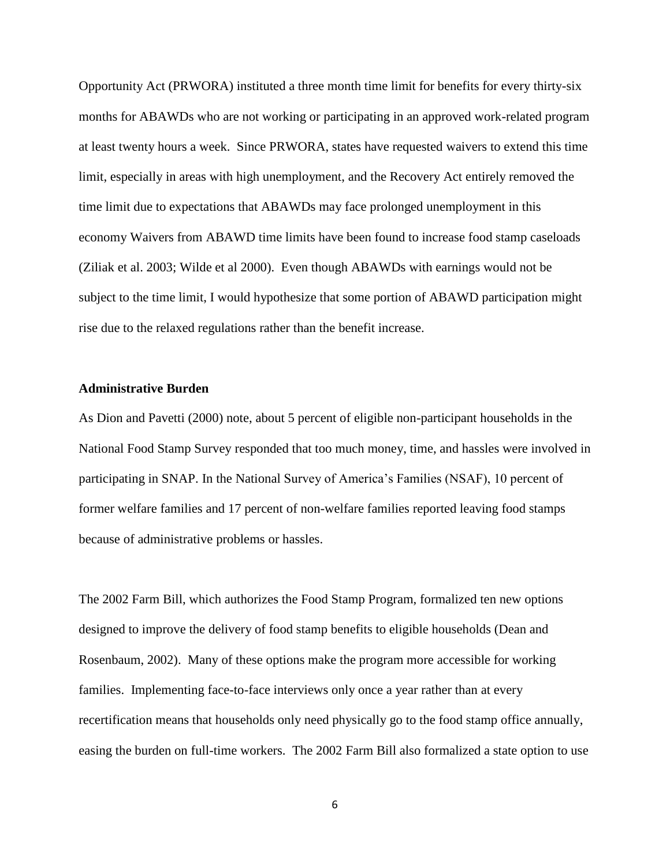Opportunity Act (PRWORA) instituted a three month time limit for benefits for every thirty-six months for ABAWDs who are not working or participating in an approved work-related program at least twenty hours a week. Since PRWORA, states have requested waivers to extend this time limit, especially in areas with high unemployment, and the Recovery Act entirely removed the time limit due to expectations that ABAWDs may face prolonged unemployment in this economy Waivers from ABAWD time limits have been found to increase food stamp caseloads (Ziliak et al. 2003; Wilde et al 2000). Even though ABAWDs with earnings would not be subject to the time limit, I would hypothesize that some portion of ABAWD participation might rise due to the relaxed regulations rather than the benefit increase.

### **Administrative Burden**

As Dion and Pavetti (2000) note, about 5 percent of eligible non-participant households in the National Food Stamp Survey responded that too much money, time, and hassles were involved in participating in SNAP. In the National Survey of America's Families (NSAF), 10 percent of former welfare families and 17 percent of non-welfare families reported leaving food stamps because of administrative problems or hassles.

The 2002 Farm Bill, which authorizes the Food Stamp Program, formalized ten new options designed to improve the delivery of food stamp benefits to eligible households (Dean and Rosenbaum, 2002). Many of these options make the program more accessible for working families. Implementing face-to-face interviews only once a year rather than at every recertification means that households only need physically go to the food stamp office annually, easing the burden on full-time workers. The 2002 Farm Bill also formalized a state option to use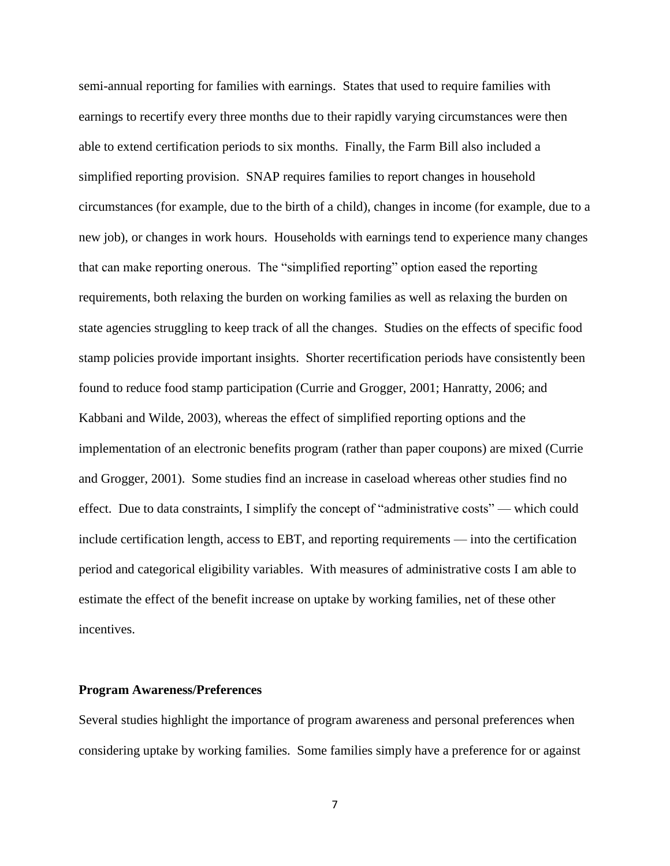semi-annual reporting for families with earnings. States that used to require families with earnings to recertify every three months due to their rapidly varying circumstances were then able to extend certification periods to six months. Finally, the Farm Bill also included a simplified reporting provision. SNAP requires families to report changes in household circumstances (for example, due to the birth of a child), changes in income (for example, due to a new job), or changes in work hours. Households with earnings tend to experience many changes that can make reporting onerous. The "simplified reporting" option eased the reporting requirements, both relaxing the burden on working families as well as relaxing the burden on state agencies struggling to keep track of all the changes. Studies on the effects of specific food stamp policies provide important insights. Shorter recertification periods have consistently been found to reduce food stamp participation (Currie and Grogger, 2001; Hanratty, 2006; and Kabbani and Wilde, 2003), whereas the effect of simplified reporting options and the implementation of an electronic benefits program (rather than paper coupons) are mixed (Currie and Grogger, 2001). Some studies find an increase in caseload whereas other studies find no effect. Due to data constraints, I simplify the concept of "administrative costs" — which could include certification length, access to EBT, and reporting requirements — into the certification period and categorical eligibility variables. With measures of administrative costs I am able to estimate the effect of the benefit increase on uptake by working families, net of these other incentives.

#### **Program Awareness/Preferences**

Several studies highlight the importance of program awareness and personal preferences when considering uptake by working families. Some families simply have a preference for or against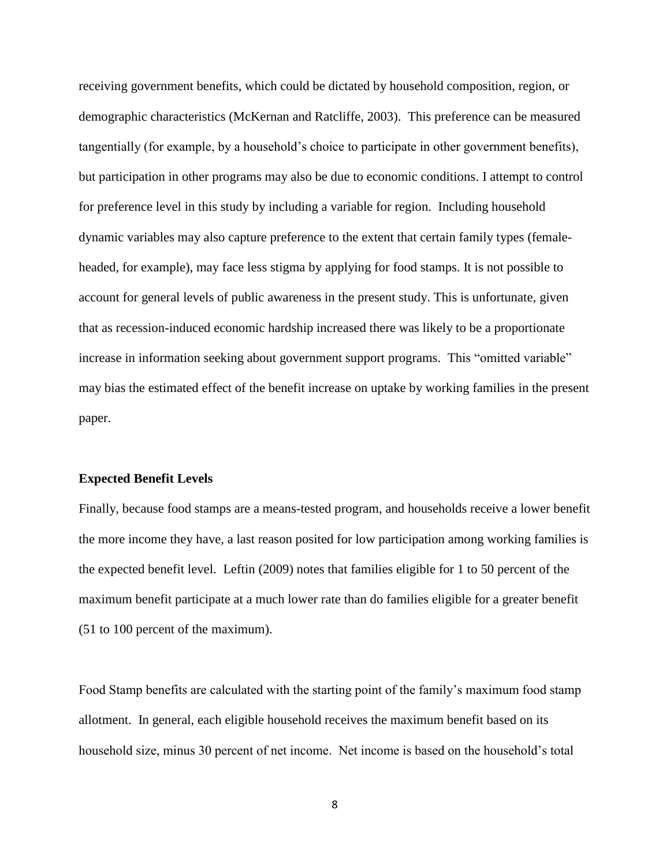receiving government benefits, which could be dictated by household composition, region, or demographic characteristics (McKernan and Ratcliffe, 2003). This preference can be measured tangentially (for example, by a household's choice to participate in other government benefits), but participation in other programs may also be due to economic conditions. I attempt to control for preference level in this study by including a variable for region. Including household dynamic variables may also capture preference to the extent that certain family types (femaleheaded, for example), may face less stigma by applying for food stamps. It is not possible to account for general levels of public awareness in the present study. This is unfortunate, given that as recession-induced economic hardship increased there was likely to be a proportionate increase in information seeking about government support programs. This "omitted variable" may bias the estimated effect of the benefit increase on uptake by working families in the present paper.

#### **Expected Benefit Levels**

Finally, because food stamps are a means-tested program, and households receive a lower benefit the more income they have, a last reason posited for low participation among working families is the expected benefit level. Leftin (2009) notes that families eligible for 1 to 50 percent of the maximum benefit participate at a much lower rate than do families eligible for a greater benefit (51 to 100 percent of the maximum).

Food Stamp benefits are calculated with the starting point of the family's maximum food stamp allotment. In general, each eligible household receives the maximum benefit based on its household size, minus 30 percent of net income. Net income is based on the household's total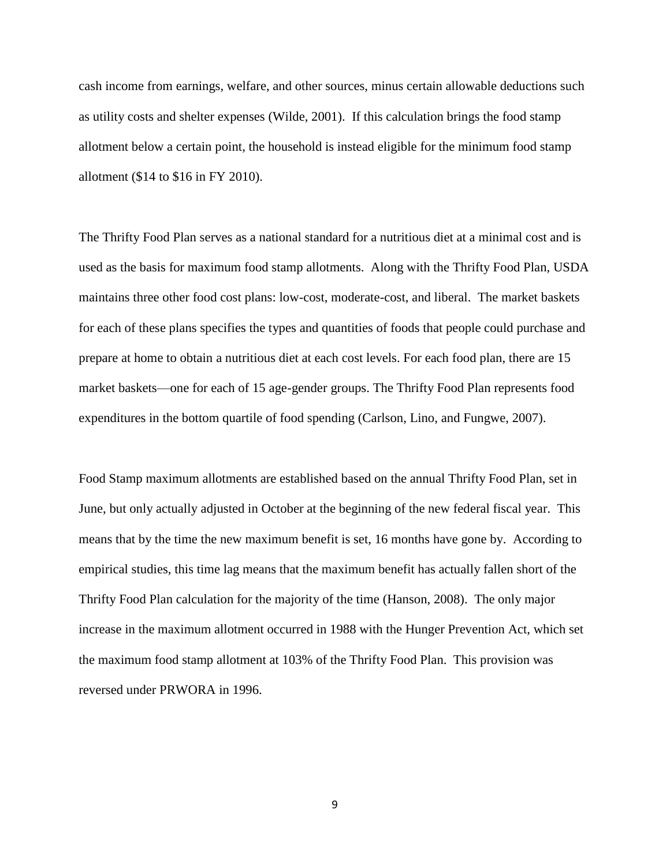cash income from earnings, welfare, and other sources, minus certain allowable deductions such as utility costs and shelter expenses (Wilde, 2001). If this calculation brings the food stamp allotment below a certain point, the household is instead eligible for the minimum food stamp allotment (\$14 to \$16 in FY 2010).

The Thrifty Food Plan serves as a national standard for a nutritious diet at a minimal cost and is used as the basis for maximum food stamp allotments. Along with the Thrifty Food Plan, USDA maintains three other food cost plans: low-cost, moderate-cost, and liberal. The market baskets for each of these plans specifies the types and quantities of foods that people could purchase and prepare at home to obtain a nutritious diet at each cost levels. For each food plan, there are 15 market baskets—one for each of 15 age-gender groups. The Thrifty Food Plan represents food expenditures in the bottom quartile of food spending (Carlson, Lino, and Fungwe, 2007).

Food Stamp maximum allotments are established based on the annual Thrifty Food Plan, set in June, but only actually adjusted in October at the beginning of the new federal fiscal year. This means that by the time the new maximum benefit is set, 16 months have gone by. According to empirical studies, this time lag means that the maximum benefit has actually fallen short of the Thrifty Food Plan calculation for the majority of the time (Hanson, 2008). The only major increase in the maximum allotment occurred in 1988 with the Hunger Prevention Act, which set the maximum food stamp allotment at 103% of the Thrifty Food Plan. This provision was reversed under PRWORA in 1996.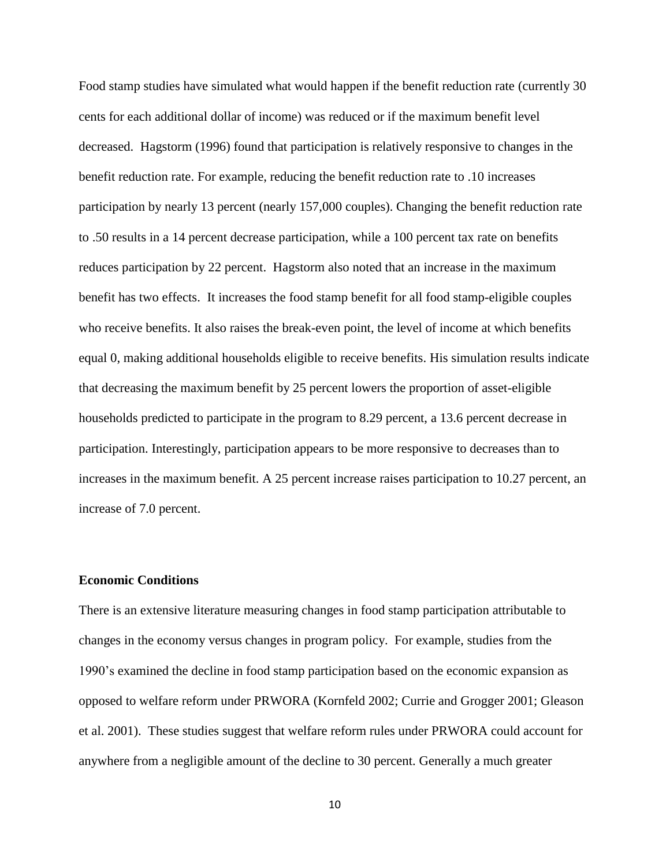Food stamp studies have simulated what would happen if the benefit reduction rate (currently 30 cents for each additional dollar of income) was reduced or if the maximum benefit level decreased. Hagstorm (1996) found that participation is relatively responsive to changes in the benefit reduction rate. For example, reducing the benefit reduction rate to .10 increases participation by nearly 13 percent (nearly 157,000 couples). Changing the benefit reduction rate to .50 results in a 14 percent decrease participation, while a 100 percent tax rate on benefits reduces participation by 22 percent. Hagstorm also noted that an increase in the maximum benefit has two effects. It increases the food stamp benefit for all food stamp-eligible couples who receive benefits. It also raises the break-even point, the level of income at which benefits equal 0, making additional households eligible to receive benefits. His simulation results indicate that decreasing the maximum benefit by 25 percent lowers the proportion of asset-eligible households predicted to participate in the program to 8.29 percent, a 13.6 percent decrease in participation. Interestingly, participation appears to be more responsive to decreases than to increases in the maximum benefit. A 25 percent increase raises participation to 10.27 percent, an increase of 7.0 percent.

### **Economic Conditions**

There is an extensive literature measuring changes in food stamp participation attributable to changes in the economy versus changes in program policy. For example, studies from the 1990's examined the decline in food stamp participation based on the economic expansion as opposed to welfare reform under PRWORA (Kornfeld 2002; Currie and Grogger 2001; Gleason et al. 2001). These studies suggest that welfare reform rules under PRWORA could account for anywhere from a negligible amount of the decline to 30 percent. Generally a much greater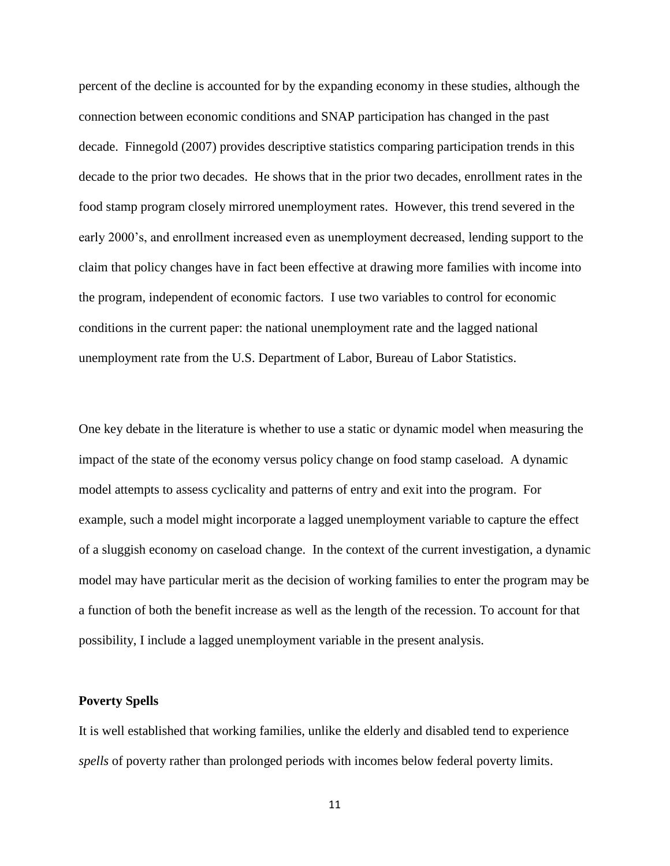percent of the decline is accounted for by the expanding economy in these studies, although the connection between economic conditions and SNAP participation has changed in the past decade. Finnegold (2007) provides descriptive statistics comparing participation trends in this decade to the prior two decades. He shows that in the prior two decades, enrollment rates in the food stamp program closely mirrored unemployment rates. However, this trend severed in the early 2000's, and enrollment increased even as unemployment decreased, lending support to the claim that policy changes have in fact been effective at drawing more families with income into the program, independent of economic factors. I use two variables to control for economic conditions in the current paper: the national unemployment rate and the lagged national unemployment rate from the U.S. Department of Labor, Bureau of Labor Statistics.

One key debate in the literature is whether to use a static or dynamic model when measuring the impact of the state of the economy versus policy change on food stamp caseload. A dynamic model attempts to assess cyclicality and patterns of entry and exit into the program. For example, such a model might incorporate a lagged unemployment variable to capture the effect of a sluggish economy on caseload change. In the context of the current investigation, a dynamic model may have particular merit as the decision of working families to enter the program may be a function of both the benefit increase as well as the length of the recession. To account for that possibility, I include a lagged unemployment variable in the present analysis.

### **Poverty Spells**

It is well established that working families, unlike the elderly and disabled tend to experience *spells* of poverty rather than prolonged periods with incomes below federal poverty limits.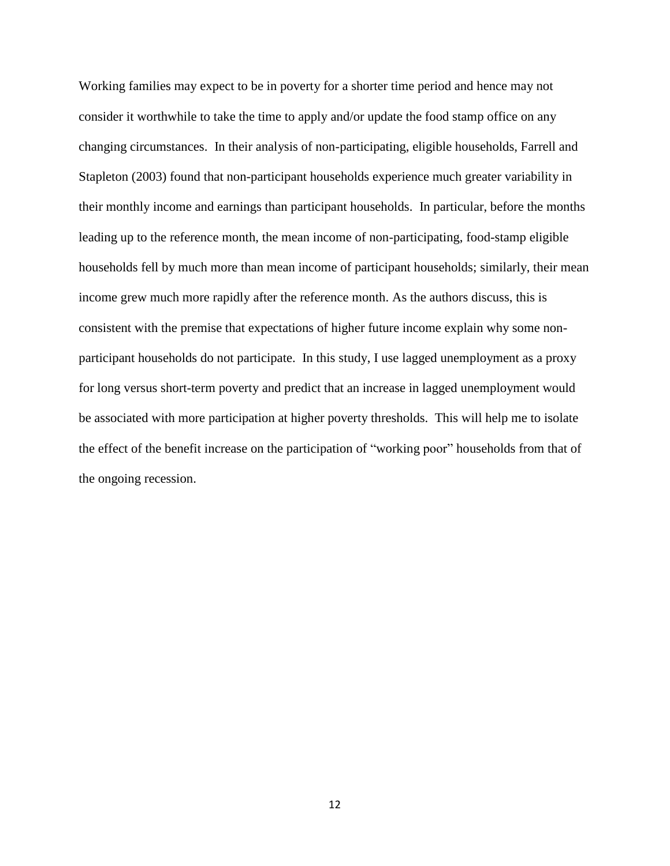Working families may expect to be in poverty for a shorter time period and hence may not consider it worthwhile to take the time to apply and/or update the food stamp office on any changing circumstances. In their analysis of non-participating, eligible households, Farrell and Stapleton (2003) found that non-participant households experience much greater variability in their monthly income and earnings than participant households. In particular, before the months leading up to the reference month, the mean income of non-participating, food-stamp eligible households fell by much more than mean income of participant households; similarly, their mean income grew much more rapidly after the reference month. As the authors discuss, this is consistent with the premise that expectations of higher future income explain why some nonparticipant households do not participate. In this study, I use lagged unemployment as a proxy for long versus short-term poverty and predict that an increase in lagged unemployment would be associated with more participation at higher poverty thresholds. This will help me to isolate the effect of the benefit increase on the participation of "working poor" households from that of the ongoing recession.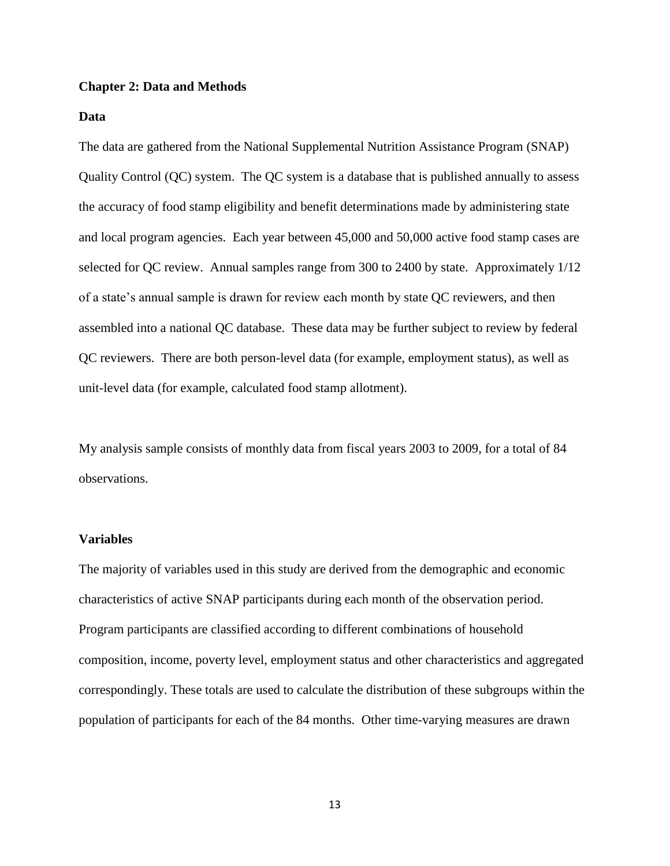### **Chapter 2: Data and Methods**

### **Data**

The data are gathered from the National Supplemental Nutrition Assistance Program (SNAP) Quality Control (QC) system. The QC system is a database that is published annually to assess the accuracy of food stamp eligibility and benefit determinations made by administering state and local program agencies. Each year between 45,000 and 50,000 active food stamp cases are selected for QC review. Annual samples range from 300 to 2400 by state. Approximately 1/12 of a state's annual sample is drawn for review each month by state QC reviewers, and then assembled into a national QC database. These data may be further subject to review by federal QC reviewers. There are both person-level data (for example, employment status), as well as unit-level data (for example, calculated food stamp allotment).

My analysis sample consists of monthly data from fiscal years 2003 to 2009, for a total of 84 observations.

#### **Variables**

The majority of variables used in this study are derived from the demographic and economic characteristics of active SNAP participants during each month of the observation period. Program participants are classified according to different combinations of household composition, income, poverty level, employment status and other characteristics and aggregated correspondingly. These totals are used to calculate the distribution of these subgroups within the population of participants for each of the 84 months. Other time-varying measures are drawn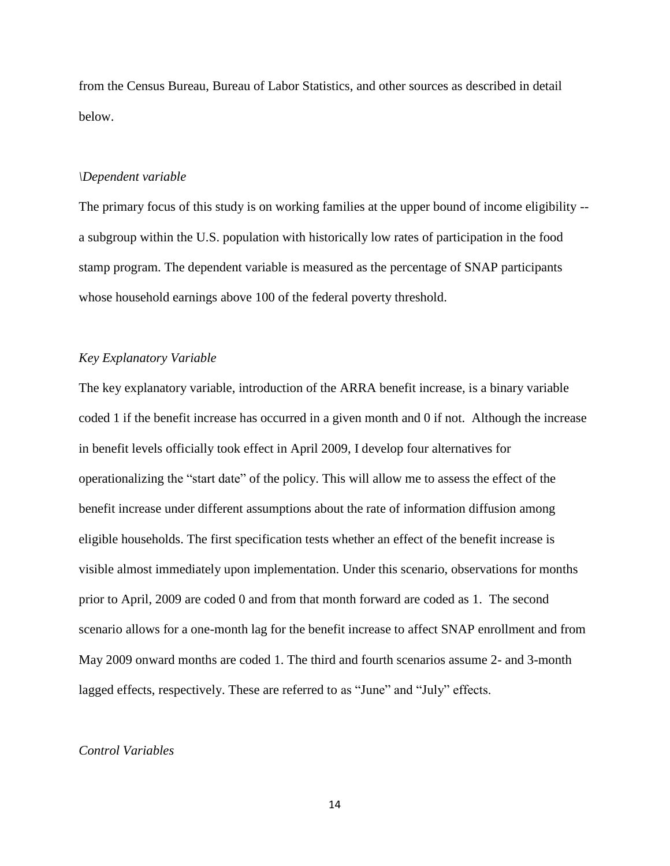from the Census Bureau, Bureau of Labor Statistics, and other sources as described in detail below.

#### *\Dependent variable*

The primary focus of this study is on working families at the upper bound of income eligibility - a subgroup within the U.S. population with historically low rates of participation in the food stamp program. The dependent variable is measured as the percentage of SNAP participants whose household earnings above 100 of the federal poverty threshold.

### *Key Explanatory Variable*

The key explanatory variable, introduction of the ARRA benefit increase, is a binary variable coded 1 if the benefit increase has occurred in a given month and 0 if not. Although the increase in benefit levels officially took effect in April 2009, I develop four alternatives for operationalizing the "start date" of the policy. This will allow me to assess the effect of the benefit increase under different assumptions about the rate of information diffusion among eligible households. The first specification tests whether an effect of the benefit increase is visible almost immediately upon implementation. Under this scenario, observations for months prior to April, 2009 are coded 0 and from that month forward are coded as 1. The second scenario allows for a one-month lag for the benefit increase to affect SNAP enrollment and from May 2009 onward months are coded 1. The third and fourth scenarios assume 2- and 3-month lagged effects, respectively. These are referred to as "June" and "July" effects.

#### *Control Variables*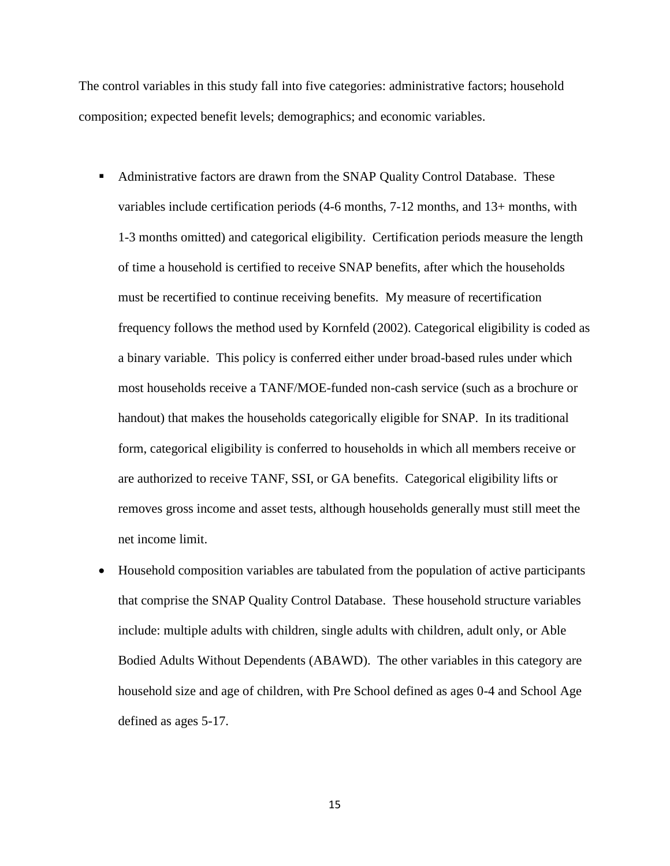The control variables in this study fall into five categories: administrative factors; household composition; expected benefit levels; demographics; and economic variables.

- Administrative factors are drawn from the SNAP Quality Control Database. These variables include certification periods (4-6 months, 7-12 months, and 13+ months, with 1-3 months omitted) and categorical eligibility. Certification periods measure the length of time a household is certified to receive SNAP benefits, after which the households must be recertified to continue receiving benefits. My measure of recertification frequency follows the method used by Kornfeld (2002). Categorical eligibility is coded as a binary variable. This policy is conferred either under broad-based rules under which most households receive a TANF/MOE-funded non-cash service (such as a brochure or handout) that makes the households categorically eligible for SNAP. In its traditional form, categorical eligibility is conferred to households in which all members receive or are authorized to receive TANF, SSI, or GA benefits. Categorical eligibility lifts or removes gross income and asset tests, although households generally must still meet the net income limit.
- Household composition variables are tabulated from the population of active participants that comprise the SNAP Quality Control Database. These household structure variables include: multiple adults with children, single adults with children, adult only, or Able Bodied Adults Without Dependents (ABAWD). The other variables in this category are household size and age of children, with Pre School defined as ages 0-4 and School Age defined as ages 5-17.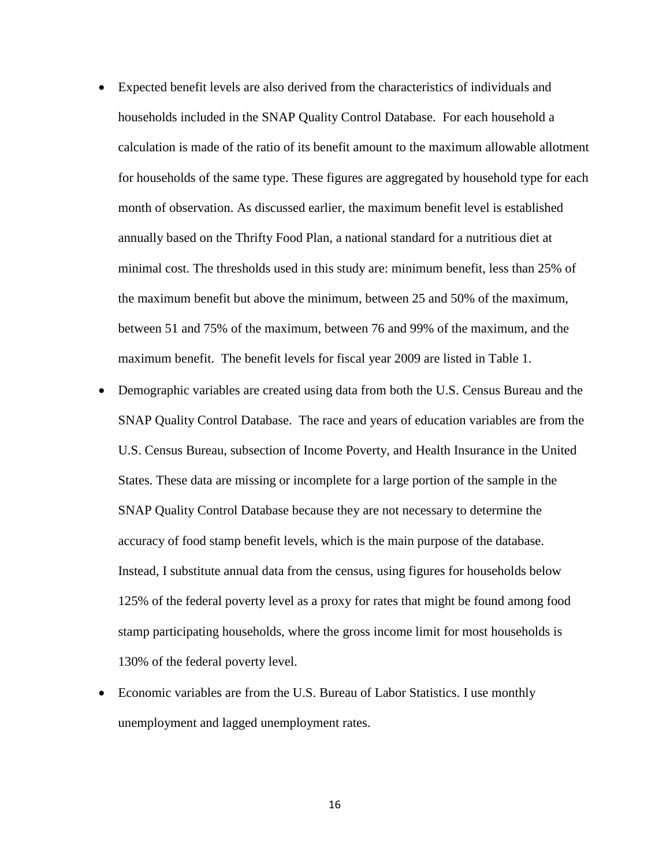- Expected benefit levels are also derived from the characteristics of individuals and households included in the SNAP Quality Control Database. For each household a calculation is made of the ratio of its benefit amount to the maximum allowable allotment for households of the same type. These figures are aggregated by household type for each month of observation. As discussed earlier, the maximum benefit level is established annually based on the Thrifty Food Plan, a national standard for a nutritious diet at minimal cost. The thresholds used in this study are: minimum benefit, less than 25% of the maximum benefit but above the minimum, between 25 and 50% of the maximum, between 51 and 75% of the maximum, between 76 and 99% of the maximum, and the maximum benefit. The benefit levels for fiscal year 2009 are listed in Table 1.
- Demographic variables are created using data from both the U.S. Census Bureau and the SNAP Quality Control Database. The race and years of education variables are from the U.S. Census Bureau, subsection of Income Poverty, and Health Insurance in the United States. These data are missing or incomplete for a large portion of the sample in the SNAP Quality Control Database because they are not necessary to determine the accuracy of food stamp benefit levels, which is the main purpose of the database. Instead, I substitute annual data from the census, using figures for households below 125% of the federal poverty level as a proxy for rates that might be found among food stamp participating households, where the gross income limit for most households is 130% of the federal poverty level.
- Economic variables are from the U.S. Bureau of Labor Statistics. I use monthly unemployment and lagged unemployment rates.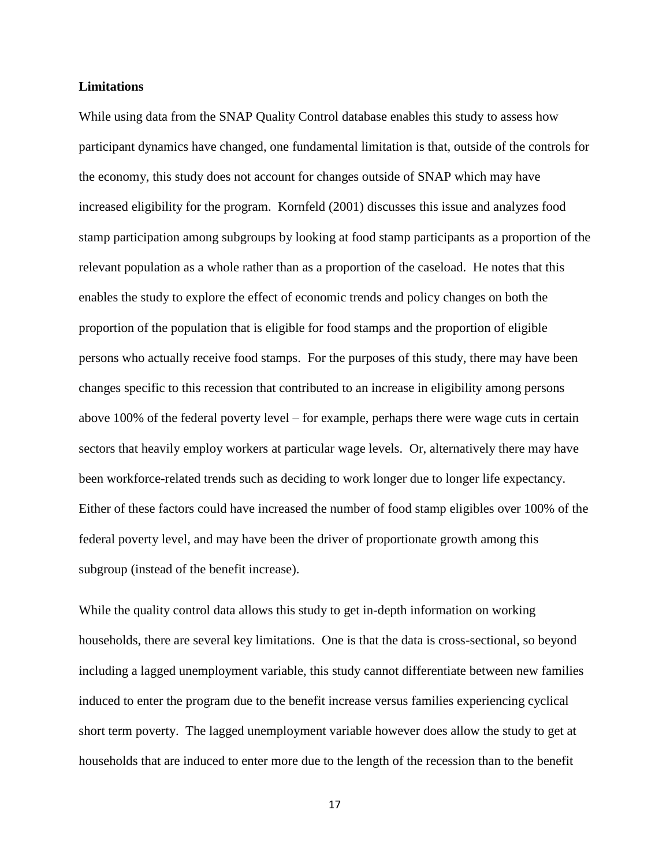#### **Limitations**

While using data from the SNAP Quality Control database enables this study to assess how participant dynamics have changed, one fundamental limitation is that, outside of the controls for the economy, this study does not account for changes outside of SNAP which may have increased eligibility for the program. Kornfeld (2001) discusses this issue and analyzes food stamp participation among subgroups by looking at food stamp participants as a proportion of the relevant population as a whole rather than as a proportion of the caseload. He notes that this enables the study to explore the effect of economic trends and policy changes on both the proportion of the population that is eligible for food stamps and the proportion of eligible persons who actually receive food stamps. For the purposes of this study, there may have been changes specific to this recession that contributed to an increase in eligibility among persons above 100% of the federal poverty level – for example, perhaps there were wage cuts in certain sectors that heavily employ workers at particular wage levels. Or, alternatively there may have been workforce-related trends such as deciding to work longer due to longer life expectancy. Either of these factors could have increased the number of food stamp eligibles over 100% of the federal poverty level, and may have been the driver of proportionate growth among this subgroup (instead of the benefit increase).

While the quality control data allows this study to get in-depth information on working households, there are several key limitations. One is that the data is cross-sectional, so beyond including a lagged unemployment variable, this study cannot differentiate between new families induced to enter the program due to the benefit increase versus families experiencing cyclical short term poverty. The lagged unemployment variable however does allow the study to get at households that are induced to enter more due to the length of the recession than to the benefit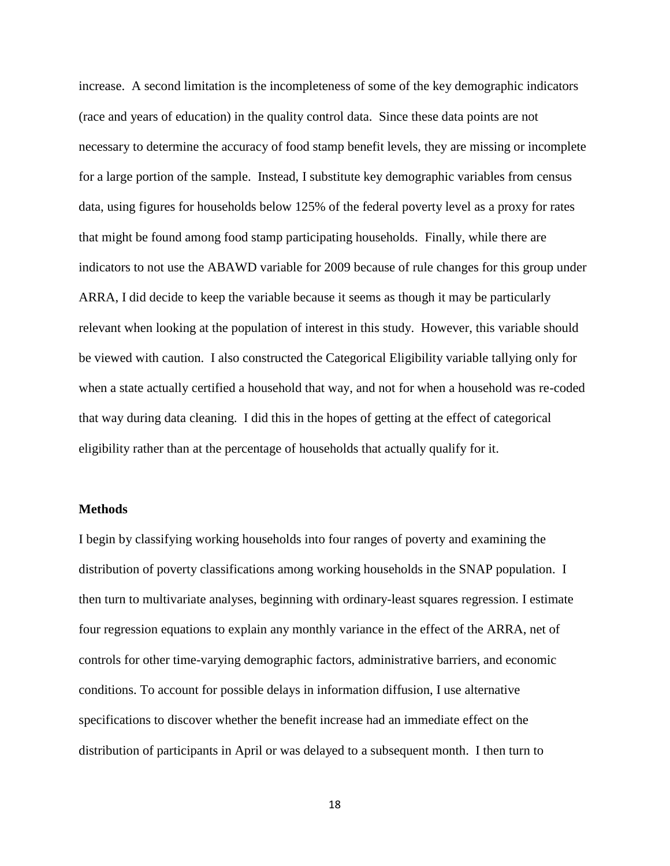increase. A second limitation is the incompleteness of some of the key demographic indicators (race and years of education) in the quality control data. Since these data points are not necessary to determine the accuracy of food stamp benefit levels, they are missing or incomplete for a large portion of the sample. Instead, I substitute key demographic variables from census data, using figures for households below 125% of the federal poverty level as a proxy for rates that might be found among food stamp participating households. Finally, while there are indicators to not use the ABAWD variable for 2009 because of rule changes for this group under ARRA, I did decide to keep the variable because it seems as though it may be particularly relevant when looking at the population of interest in this study. However, this variable should be viewed with caution. I also constructed the Categorical Eligibility variable tallying only for when a state actually certified a household that way, and not for when a household was re-coded that way during data cleaning. I did this in the hopes of getting at the effect of categorical eligibility rather than at the percentage of households that actually qualify for it.

#### **Methods**

I begin by classifying working households into four ranges of poverty and examining the distribution of poverty classifications among working households in the SNAP population. I then turn to multivariate analyses, beginning with ordinary-least squares regression. I estimate four regression equations to explain any monthly variance in the effect of the ARRA, net of controls for other time-varying demographic factors, administrative barriers, and economic conditions. To account for possible delays in information diffusion, I use alternative specifications to discover whether the benefit increase had an immediate effect on the distribution of participants in April or was delayed to a subsequent month. I then turn to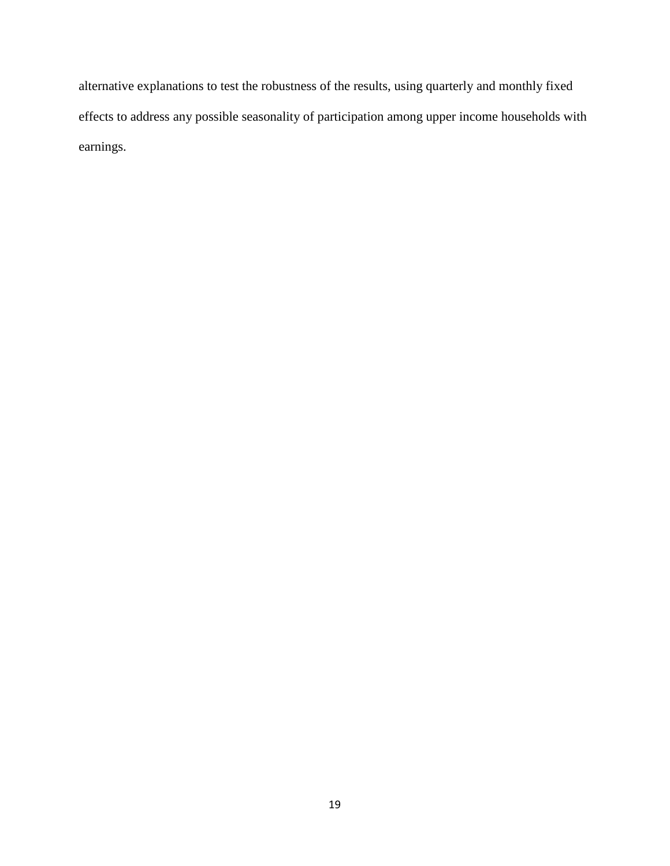alternative explanations to test the robustness of the results, using quarterly and monthly fixed effects to address any possible seasonality of participation among upper income households with earnings.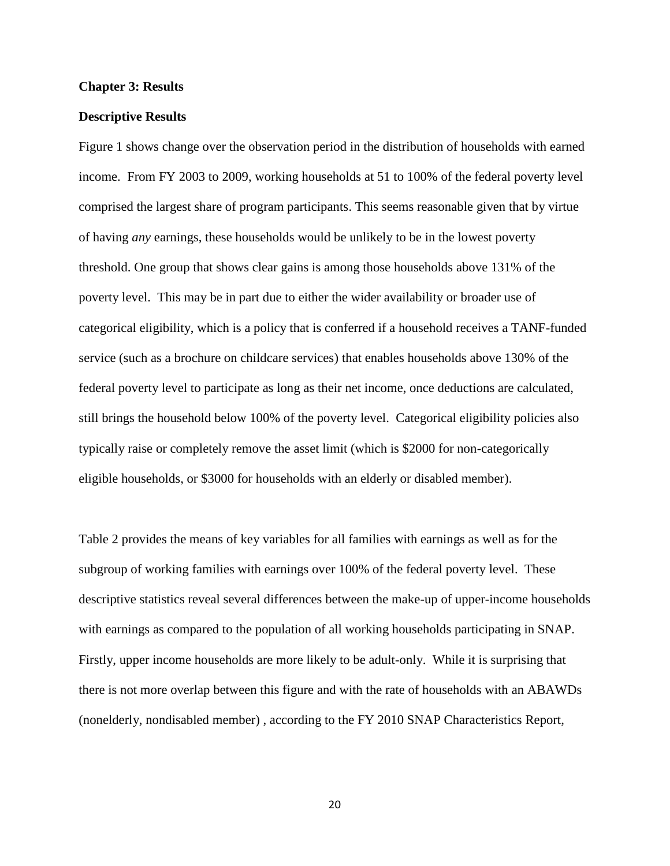#### **Chapter 3: Results**

#### **Descriptive Results**

Figure 1 shows change over the observation period in the distribution of households with earned income. From FY 2003 to 2009, working households at 51 to 100% of the federal poverty level comprised the largest share of program participants. This seems reasonable given that by virtue of having *any* earnings, these households would be unlikely to be in the lowest poverty threshold. One group that shows clear gains is among those households above 131% of the poverty level. This may be in part due to either the wider availability or broader use of categorical eligibility, which is a policy that is conferred if a household receives a TANF-funded service (such as a brochure on childcare services) that enables households above 130% of the federal poverty level to participate as long as their net income, once deductions are calculated, still brings the household below 100% of the poverty level. Categorical eligibility policies also typically raise or completely remove the asset limit (which is \$2000 for non-categorically eligible households, or \$3000 for households with an elderly or disabled member).

Table 2 provides the means of key variables for all families with earnings as well as for the subgroup of working families with earnings over 100% of the federal poverty level. These descriptive statistics reveal several differences between the make-up of upper-income households with earnings as compared to the population of all working households participating in SNAP. Firstly, upper income households are more likely to be adult-only. While it is surprising that there is not more overlap between this figure and with the rate of households with an ABAWDs (nonelderly, nondisabled member) , according to the FY 2010 SNAP Characteristics Report,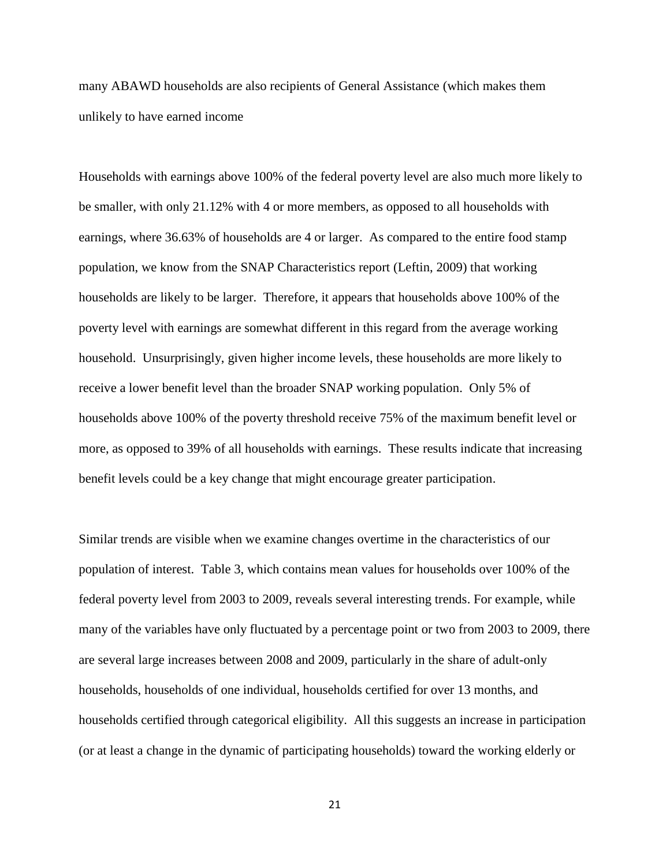many ABAWD households are also recipients of General Assistance (which makes them unlikely to have earned income

Households with earnings above 100% of the federal poverty level are also much more likely to be smaller, with only 21.12% with 4 or more members, as opposed to all households with earnings, where 36.63% of households are 4 or larger. As compared to the entire food stamp population, we know from the SNAP Characteristics report (Leftin, 2009) that working households are likely to be larger. Therefore, it appears that households above 100% of the poverty level with earnings are somewhat different in this regard from the average working household. Unsurprisingly, given higher income levels, these households are more likely to receive a lower benefit level than the broader SNAP working population. Only 5% of households above 100% of the poverty threshold receive 75% of the maximum benefit level or more, as opposed to 39% of all households with earnings. These results indicate that increasing benefit levels could be a key change that might encourage greater participation.

Similar trends are visible when we examine changes overtime in the characteristics of our population of interest. Table 3, which contains mean values for households over 100% of the federal poverty level from 2003 to 2009, reveals several interesting trends. For example, while many of the variables have only fluctuated by a percentage point or two from 2003 to 2009, there are several large increases between 2008 and 2009, particularly in the share of adult-only households, households of one individual, households certified for over 13 months, and households certified through categorical eligibility. All this suggests an increase in participation (or at least a change in the dynamic of participating households) toward the working elderly or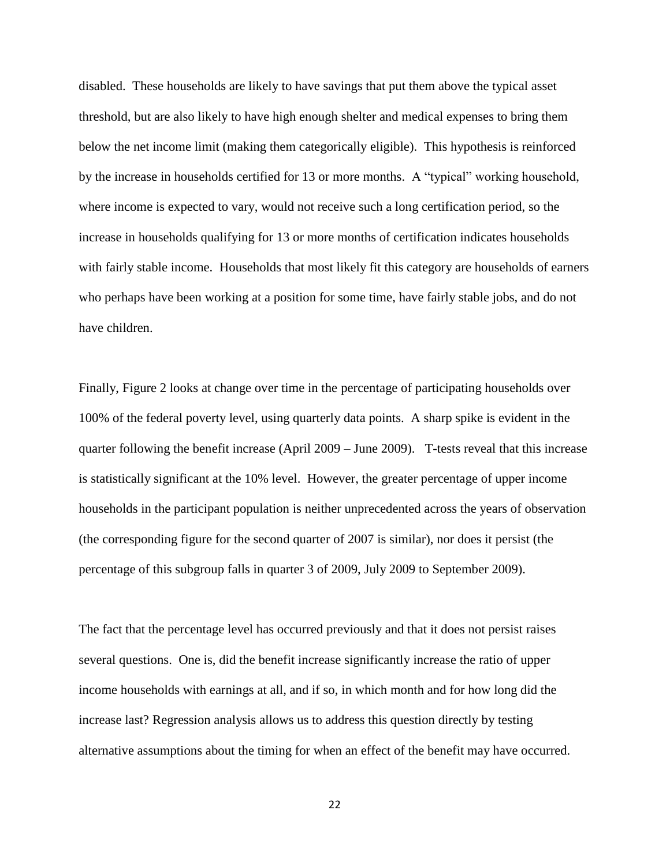disabled. These households are likely to have savings that put them above the typical asset threshold, but are also likely to have high enough shelter and medical expenses to bring them below the net income limit (making them categorically eligible). This hypothesis is reinforced by the increase in households certified for 13 or more months. A "typical" working household, where income is expected to vary, would not receive such a long certification period, so the increase in households qualifying for 13 or more months of certification indicates households with fairly stable income. Households that most likely fit this category are households of earners who perhaps have been working at a position for some time, have fairly stable jobs, and do not have children.

Finally, Figure 2 looks at change over time in the percentage of participating households over 100% of the federal poverty level, using quarterly data points. A sharp spike is evident in the quarter following the benefit increase (April 2009 – June 2009). T-tests reveal that this increase is statistically significant at the 10% level. However, the greater percentage of upper income households in the participant population is neither unprecedented across the years of observation (the corresponding figure for the second quarter of 2007 is similar), nor does it persist (the percentage of this subgroup falls in quarter 3 of 2009, July 2009 to September 2009).

The fact that the percentage level has occurred previously and that it does not persist raises several questions. One is, did the benefit increase significantly increase the ratio of upper income households with earnings at all, and if so, in which month and for how long did the increase last? Regression analysis allows us to address this question directly by testing alternative assumptions about the timing for when an effect of the benefit may have occurred.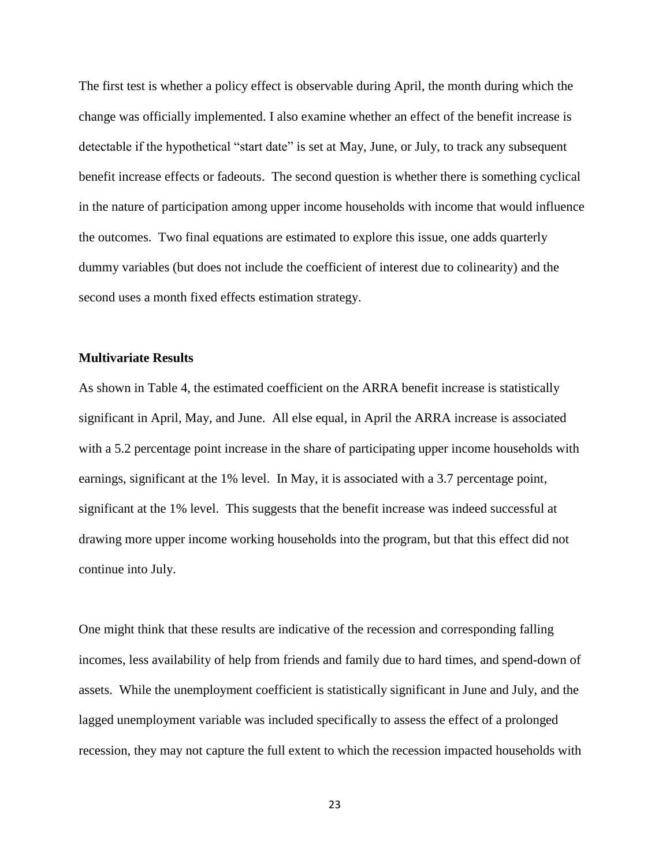The first test is whether a policy effect is observable during April, the month during which the change was officially implemented. I also examine whether an effect of the benefit increase is detectable if the hypothetical "start date" is set at May, June, or July, to track any subsequent benefit increase effects or fadeouts. The second question is whether there is something cyclical in the nature of participation among upper income households with income that would influence the outcomes. Two final equations are estimated to explore this issue, one adds quarterly dummy variables (but does not include the coefficient of interest due to colinearity) and the second uses a month fixed effects estimation strategy.

### **Multivariate Results**

As shown in Table 4, the estimated coefficient on the ARRA benefit increase is statistically significant in April, May, and June. All else equal, in April the ARRA increase is associated with a 5.2 percentage point increase in the share of participating upper income households with earnings, significant at the 1% level. In May, it is associated with a 3.7 percentage point, significant at the 1% level. This suggests that the benefit increase was indeed successful at drawing more upper income working households into the program, but that this effect did not continue into July.

One might think that these results are indicative of the recession and corresponding falling incomes, less availability of help from friends and family due to hard times, and spend-down of assets. While the unemployment coefficient is statistically significant in June and July, and the lagged unemployment variable was included specifically to assess the effect of a prolonged recession, they may not capture the full extent to which the recession impacted households with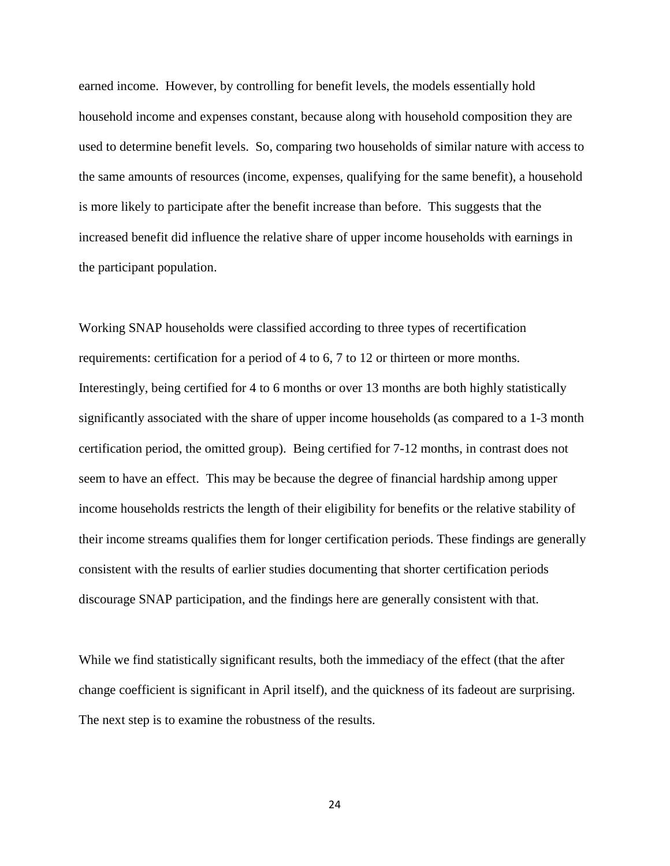earned income. However, by controlling for benefit levels, the models essentially hold household income and expenses constant, because along with household composition they are used to determine benefit levels. So, comparing two households of similar nature with access to the same amounts of resources (income, expenses, qualifying for the same benefit), a household is more likely to participate after the benefit increase than before. This suggests that the increased benefit did influence the relative share of upper income households with earnings in the participant population.

Working SNAP households were classified according to three types of recertification requirements: certification for a period of 4 to 6, 7 to 12 or thirteen or more months. Interestingly, being certified for 4 to 6 months or over 13 months are both highly statistically significantly associated with the share of upper income households (as compared to a 1-3 month certification period, the omitted group). Being certified for 7-12 months, in contrast does not seem to have an effect. This may be because the degree of financial hardship among upper income households restricts the length of their eligibility for benefits or the relative stability of their income streams qualifies them for longer certification periods. These findings are generally consistent with the results of earlier studies documenting that shorter certification periods discourage SNAP participation, and the findings here are generally consistent with that.

While we find statistically significant results, both the immediacy of the effect (that the after change coefficient is significant in April itself), and the quickness of its fadeout are surprising. The next step is to examine the robustness of the results.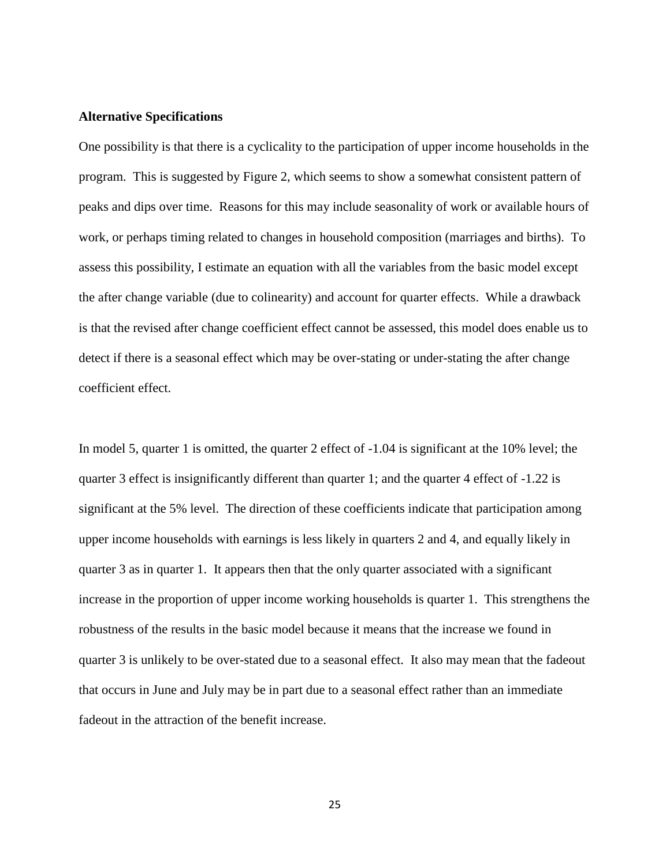#### **Alternative Specifications**

One possibility is that there is a cyclicality to the participation of upper income households in the program. This is suggested by Figure 2, which seems to show a somewhat consistent pattern of peaks and dips over time. Reasons for this may include seasonality of work or available hours of work, or perhaps timing related to changes in household composition (marriages and births). To assess this possibility, I estimate an equation with all the variables from the basic model except the after change variable (due to colinearity) and account for quarter effects. While a drawback is that the revised after change coefficient effect cannot be assessed, this model does enable us to detect if there is a seasonal effect which may be over-stating or under-stating the after change coefficient effect.

In model 5, quarter 1 is omitted, the quarter 2 effect of  $-1.04$  is significant at the 10% level; the quarter 3 effect is insignificantly different than quarter 1; and the quarter 4 effect of -1.22 is significant at the 5% level. The direction of these coefficients indicate that participation among upper income households with earnings is less likely in quarters 2 and 4, and equally likely in quarter 3 as in quarter 1. It appears then that the only quarter associated with a significant increase in the proportion of upper income working households is quarter 1. This strengthens the robustness of the results in the basic model because it means that the increase we found in quarter 3 is unlikely to be over-stated due to a seasonal effect. It also may mean that the fadeout that occurs in June and July may be in part due to a seasonal effect rather than an immediate fadeout in the attraction of the benefit increase.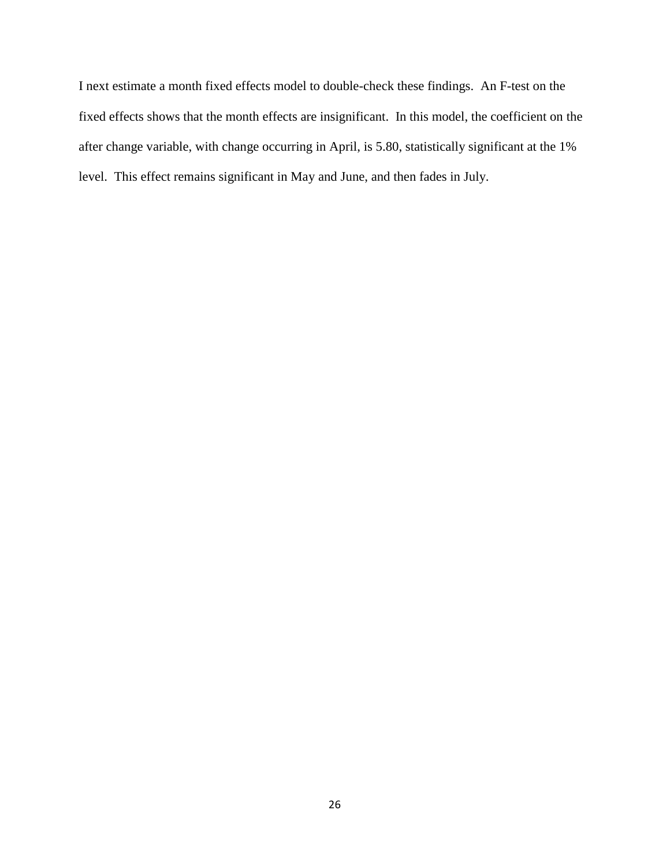I next estimate a month fixed effects model to double-check these findings. An F-test on the fixed effects shows that the month effects are insignificant. In this model, the coefficient on the after change variable, with change occurring in April, is 5.80, statistically significant at the 1% level. This effect remains significant in May and June, and then fades in July.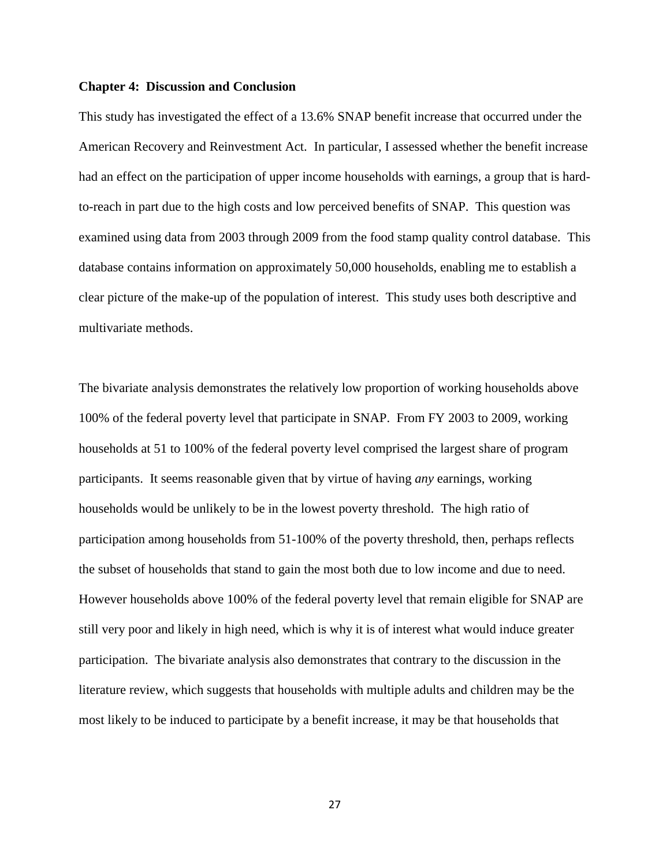#### **Chapter 4: Discussion and Conclusion**

This study has investigated the effect of a 13.6% SNAP benefit increase that occurred under the American Recovery and Reinvestment Act. In particular, I assessed whether the benefit increase had an effect on the participation of upper income households with earnings, a group that is hardto-reach in part due to the high costs and low perceived benefits of SNAP. This question was examined using data from 2003 through 2009 from the food stamp quality control database. This database contains information on approximately 50,000 households, enabling me to establish a clear picture of the make-up of the population of interest. This study uses both descriptive and multivariate methods.

The bivariate analysis demonstrates the relatively low proportion of working households above 100% of the federal poverty level that participate in SNAP. From FY 2003 to 2009, working households at 51 to 100% of the federal poverty level comprised the largest share of program participants. It seems reasonable given that by virtue of having *any* earnings, working households would be unlikely to be in the lowest poverty threshold. The high ratio of participation among households from 51-100% of the poverty threshold, then, perhaps reflects the subset of households that stand to gain the most both due to low income and due to need. However households above 100% of the federal poverty level that remain eligible for SNAP are still very poor and likely in high need, which is why it is of interest what would induce greater participation. The bivariate analysis also demonstrates that contrary to the discussion in the literature review, which suggests that households with multiple adults and children may be the most likely to be induced to participate by a benefit increase, it may be that households that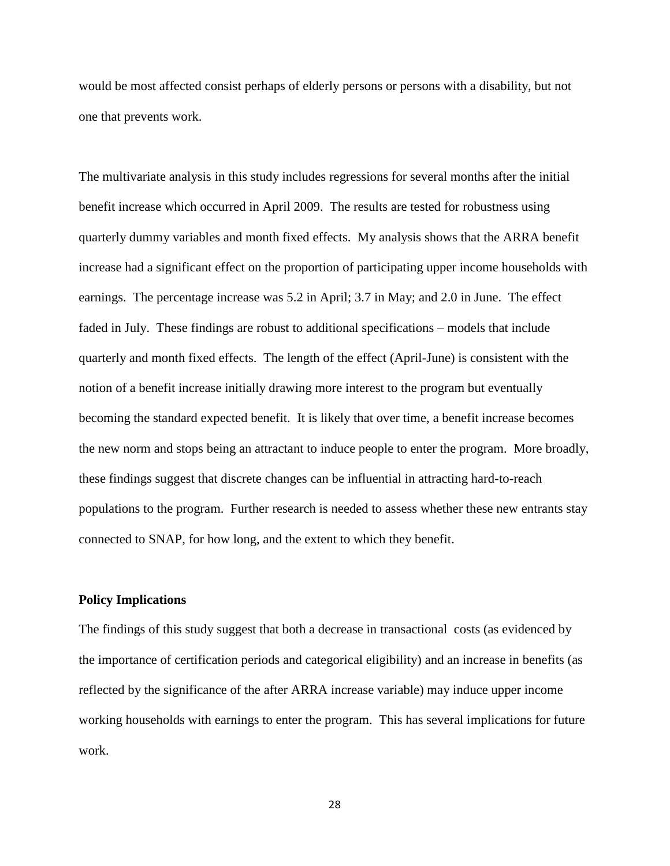would be most affected consist perhaps of elderly persons or persons with a disability, but not one that prevents work.

The multivariate analysis in this study includes regressions for several months after the initial benefit increase which occurred in April 2009. The results are tested for robustness using quarterly dummy variables and month fixed effects. My analysis shows that the ARRA benefit increase had a significant effect on the proportion of participating upper income households with earnings. The percentage increase was 5.2 in April; 3.7 in May; and 2.0 in June. The effect faded in July. These findings are robust to additional specifications – models that include quarterly and month fixed effects. The length of the effect (April-June) is consistent with the notion of a benefit increase initially drawing more interest to the program but eventually becoming the standard expected benefit. It is likely that over time, a benefit increase becomes the new norm and stops being an attractant to induce people to enter the program. More broadly, these findings suggest that discrete changes can be influential in attracting hard-to-reach populations to the program. Further research is needed to assess whether these new entrants stay connected to SNAP, for how long, and the extent to which they benefit.

#### **Policy Implications**

The findings of this study suggest that both a decrease in transactional costs (as evidenced by the importance of certification periods and categorical eligibility) and an increase in benefits (as reflected by the significance of the after ARRA increase variable) may induce upper income working households with earnings to enter the program. This has several implications for future work.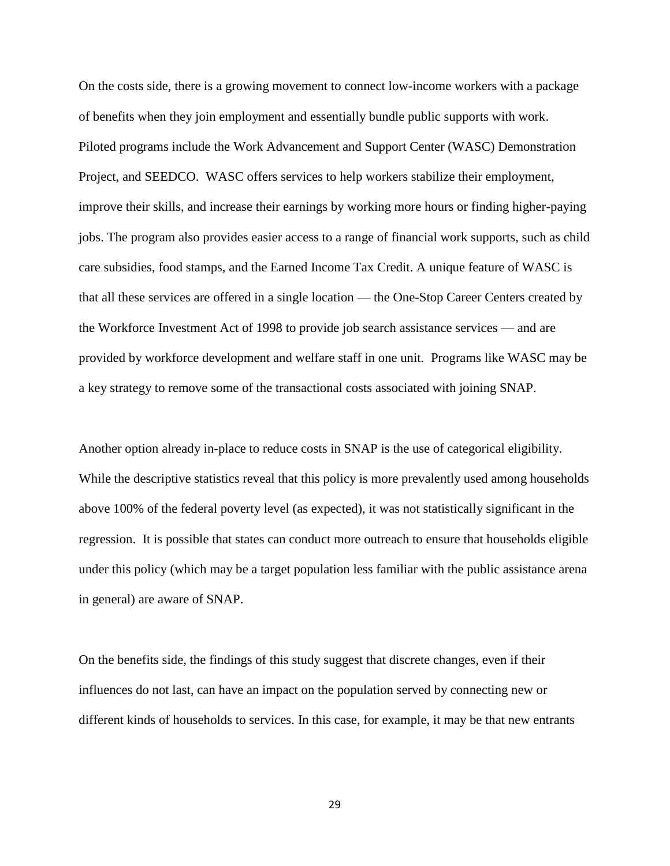On the costs side, there is a growing movement to connect low-income workers with a package of benefits when they join employment and essentially bundle public supports with work. Piloted programs include the Work Advancement and Support Center (WASC) Demonstration Project, and SEEDCO. WASC offers services to help workers stabilize their employment, improve their skills, and increase their earnings by working more hours or finding higher-paying jobs. The program also provides easier access to a range of financial work supports, such as child care subsidies, food stamps, and the Earned Income Tax Credit. A unique feature of WASC is that all these services are offered in a single location — the One-Stop Career Centers created by the Workforce Investment Act of 1998 to provide job search assistance services — and are provided by workforce development and welfare staff in one unit. Programs like WASC may be a key strategy to remove some of the transactional costs associated with joining SNAP.

Another option already in-place to reduce costs in SNAP is the use of categorical eligibility. While the descriptive statistics reveal that this policy is more prevalently used among households above 100% of the federal poverty level (as expected), it was not statistically significant in the regression. It is possible that states can conduct more outreach to ensure that households eligible under this policy (which may be a target population less familiar with the public assistance arena in general) are aware of SNAP.

On the benefits side, the findings of this study suggest that discrete changes, even if their influences do not last, can have an impact on the population served by connecting new or different kinds of households to services. In this case, for example, it may be that new entrants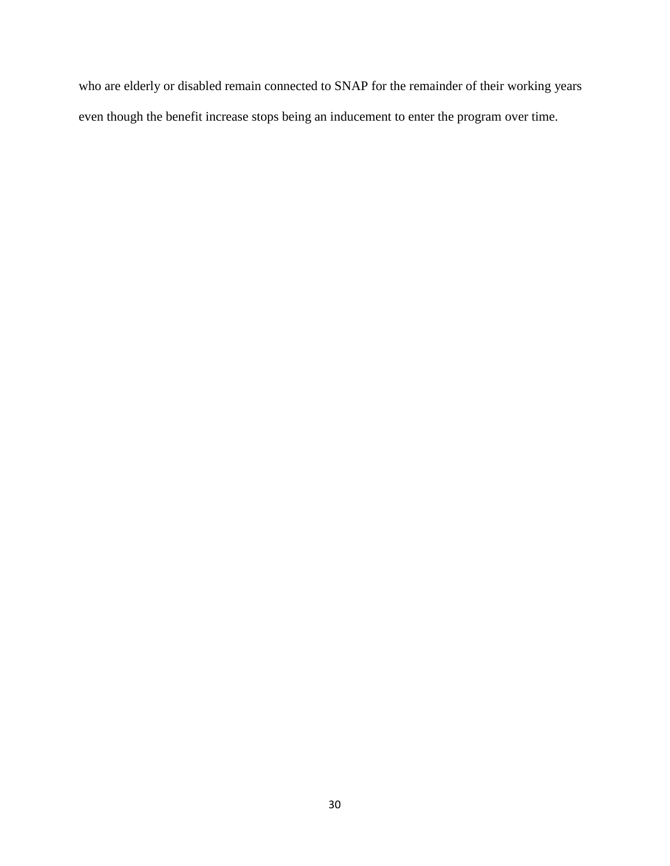who are elderly or disabled remain connected to SNAP for the remainder of their working years even though the benefit increase stops being an inducement to enter the program over time.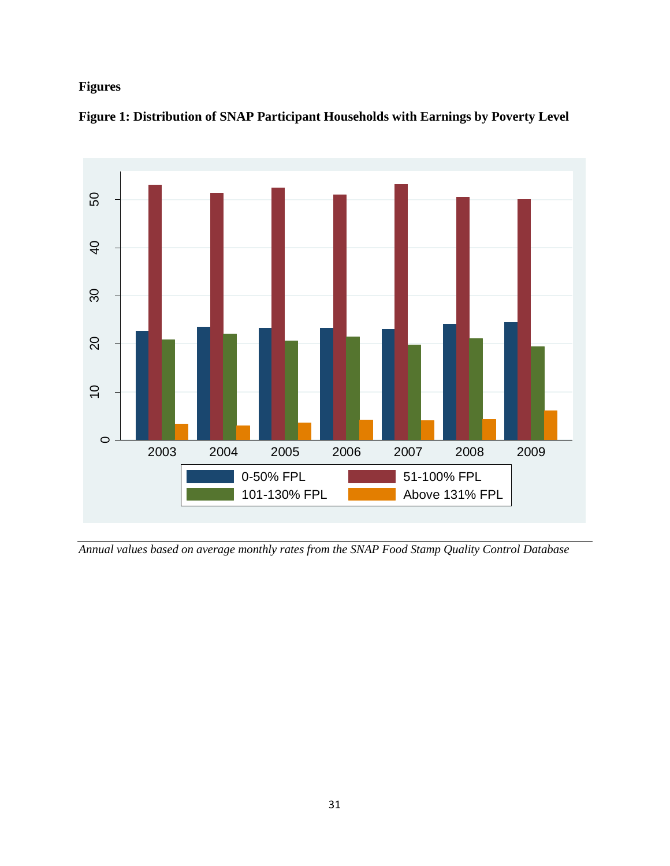# **Figures**



**Figure 1: Distribution of SNAP Participant Households with Earnings by Poverty Level**

*Annual values based on average monthly rates from the SNAP Food Stamp Quality Control Database*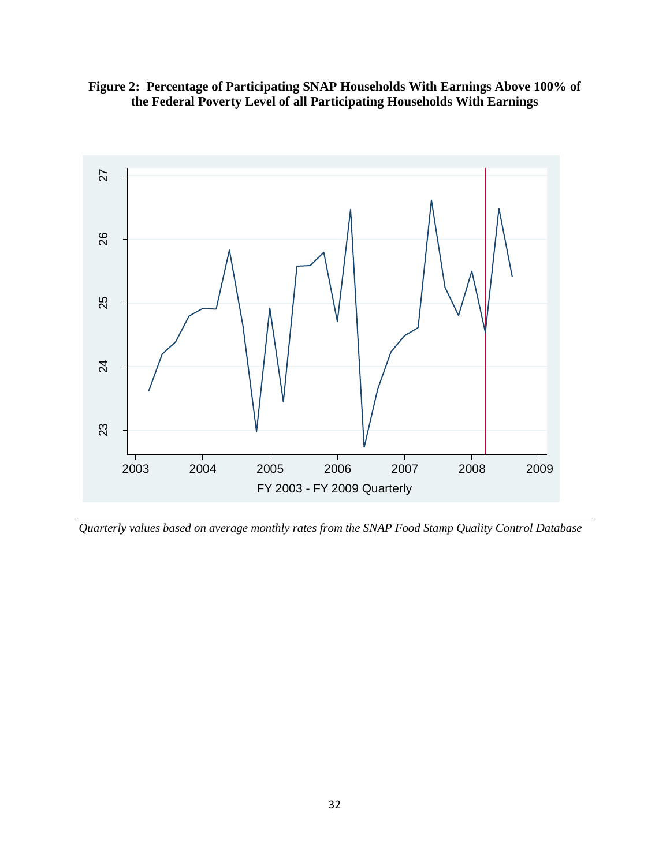



*Quarterly values based on average monthly rates from the SNAP Food Stamp Quality Control Database*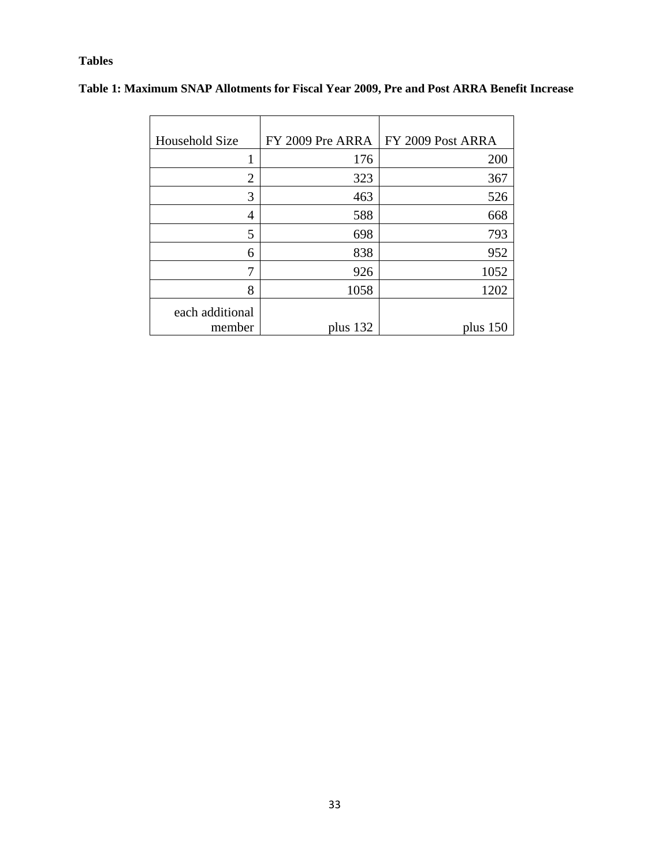## **Tables**

| Household Size            | FY 2009 Pre ARRA | FY 2009 Post ARRA |
|---------------------------|------------------|-------------------|
|                           | 176              | 200               |
| 2                         | 323              | 367               |
| 3                         | 463              | 526               |
| 4                         | 588              | 668               |
| 5                         | 698              | 793               |
| 6                         | 838              | 952               |
| 7                         | 926              | 1052              |
| 8                         | 1058             | 1202              |
| each additional<br>member | plus 132         | plus $150$        |
|                           |                  |                   |

## **Table 1: Maximum SNAP Allotments for Fiscal Year 2009, Pre and Post ARRA Benefit Increase**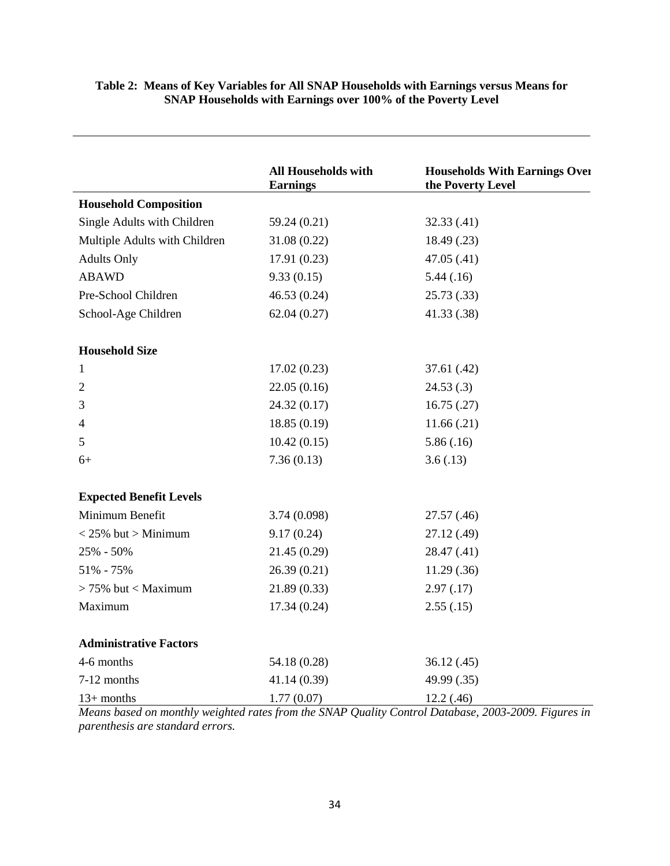|                                | <b>All Households with</b> | <b>Households With Earnings Over</b> |
|--------------------------------|----------------------------|--------------------------------------|
|                                | <b>Earnings</b>            | the Poverty Level                    |
| <b>Household Composition</b>   |                            |                                      |
| Single Adults with Children    | 59.24 (0.21)               | 32.33(.41)                           |
| Multiple Adults with Children  | 31.08(0.22)                | 18.49 (.23)                          |
| <b>Adults Only</b>             | 17.91(0.23)                | 47.05(.41)                           |
| <b>ABAWD</b>                   | 9.33(0.15)                 | 5.44(0.16)                           |
| Pre-School Children            | 46.53 (0.24)               | 25.73(.33)                           |
| School-Age Children            | 62.04(0.27)                | 41.33 (.38)                          |
| <b>Household Size</b>          |                            |                                      |
| $\mathbf{1}$                   | 17.02(0.23)                | 37.61(.42)                           |
| $\overline{2}$                 | 22.05(0.16)                | 24.53(.3)                            |
| 3                              | 24.32 (0.17)               | 16.75(.27)                           |
| 4                              | 18.85 (0.19)               | 11.66(.21)                           |
| $\mathfrak{S}$                 | 10.42(0.15)                | 5.86(.16)                            |
| $6+$                           | 7.36(0.13)                 | 3.6(.13)                             |
| <b>Expected Benefit Levels</b> |                            |                                      |
| Minimum Benefit                | 3.74(0.098)                | 27.57(.46)                           |
| $<$ 25% but > Minimum          | 9.17(0.24)                 | 27.12 (.49)                          |
| 25% - 50%                      | 21.45 (0.29)               | 28.47 (.41)                          |
| 51% - 75%                      | 26.39(0.21)                | 11.29(.36)                           |
| $> 75\%$ but < Maximum         | 21.89(0.33)                | 2.97(0.17)                           |
| Maximum                        | 17.34(0.24)                | 2.55(.15)                            |
| <b>Administrative Factors</b>  |                            |                                      |
| 4-6 months                     | 54.18 (0.28)               | 36.12(0.45)                          |
| 7-12 months                    | 41.14 (0.39)               | 49.99 (.35)                          |
| $13+$ months                   | 1.77(0.07)                 | 12.2(0.46)                           |

#### **Table 2: Means of Key Variables for All SNAP Households with Earnings versus Means for SNAP Households with Earnings over 100% of the Poverty Level**

*Means based on monthly weighted rates from the SNAP Quality Control Database, 2003-2009. Figures in parenthesis are standard errors.*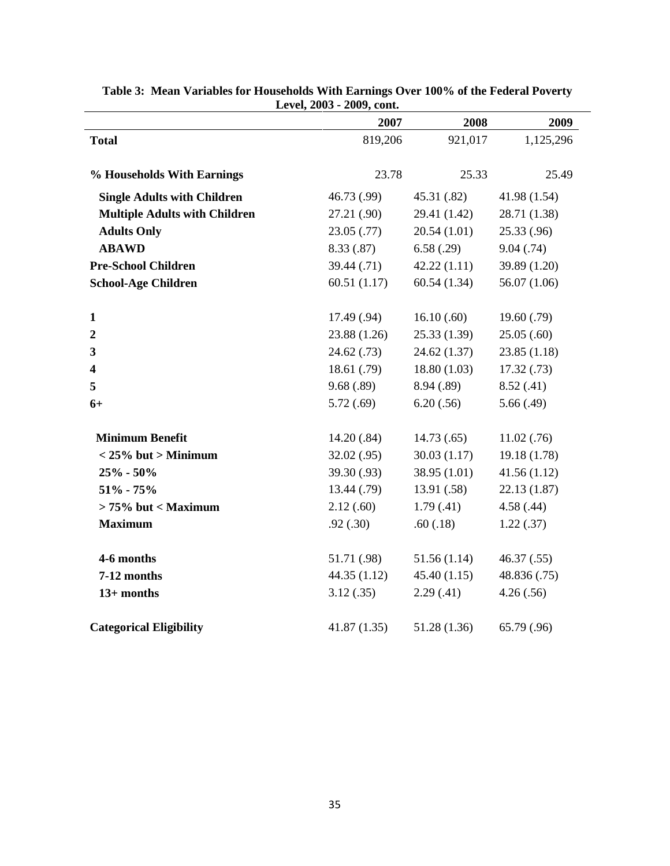|                                      | LEVEI, $\angle 003 - \angle 002$ , COML.<br>2007 | 2008         | 2009         |
|--------------------------------------|--------------------------------------------------|--------------|--------------|
| <b>Total</b>                         | 819,206                                          | 921,017      | 1,125,296    |
| % Households With Earnings           | 23.78                                            | 25.33        | 25.49        |
| <b>Single Adults with Children</b>   | 46.73 (.99)                                      | 45.31 (.82)  | 41.98 (1.54) |
| <b>Multiple Adults with Children</b> | 27.21 (.90)                                      | 29.41 (1.42) | 28.71 (1.38) |
| <b>Adults Only</b>                   | 23.05(.77)                                       | 20.54(1.01)  | 25.33(.96)   |
| <b>ABAWD</b>                         | 8.33(.87)                                        | 6.58(.29)    | 9.04(.74)    |
| <b>Pre-School Children</b>           | 39.44(0.71)                                      | 42.22(1.11)  | 39.89 (1.20) |
| <b>School-Age Children</b>           | 60.51(1.17)                                      | 60.54(1.34)  | 56.07(1.06)  |
| $\mathbf{1}$                         | 17.49 (.94)                                      | 16.10(.60)   | 19.60(0.79)  |
| $\boldsymbol{2}$                     | 23.88 (1.26)                                     | 25.33(1.39)  | 25.05(.60)   |
| 3                                    | 24.62(0.73)                                      | 24.62(1.37)  | 23.85(1.18)  |
| $\overline{\mathbf{4}}$              | 18.61 (.79)                                      | 18.80(1.03)  | 17.32(0.73)  |
| 5                                    | 9.68(.89)                                        | 8.94 (.89)   | 8.52(.41)    |
| $6+$                                 | 5.72(.69)                                        | 6.20(.56)    | 5.66(.49)    |
| <b>Minimum Benefit</b>               | 14.20(.84)                                       | 14.73(0.65)  | 11.02(.76)   |
| $<$ 25% but > Minimum                | 32.02(.95)                                       | 30.03(1.17)  | 19.18 (1.78) |
| $25% - 50%$                          | 39.30 (.93)                                      | 38.95(1.01)  | 41.56(1.12)  |
| $51\% - 75\%$                        | 13.44 (.79)                                      | 13.91(.58)   | 22.13(1.87)  |
| $> 75\%$ but < Maximum               | 2.12(.60)                                        | 1.79(0.41)   | 4.58(.44)    |
| <b>Maximum</b>                       | .92(.30)                                         | .60(.18)     | 1.22(.37)    |
| 4-6 months                           | 51.71 (.98)                                      | 51.56(1.14)  | 46.37(.55)   |
| 7-12 months                          | 44.35(1.12)                                      | 45.40(1.15)  | 48.836 (.75) |
| $13+$ months                         | 3.12(.35)                                        | 2.29(0.41)   | 4.26(.56)    |
| <b>Categorical Eligibility</b>       | 41.87(1.35)                                      | 51.28 (1.36) | 65.79 (.96)  |

|  | Table 3: Mean Variables for Households With Earnings Over 100% of the Federal Poverty |
|--|---------------------------------------------------------------------------------------|
|  | Level, 2003 - 2009, cont.                                                             |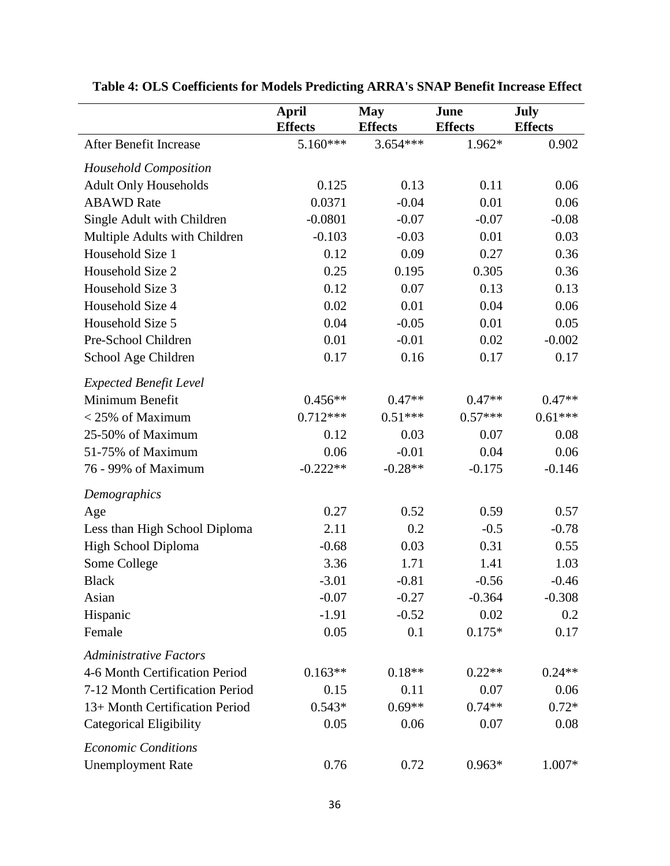|                                 | <b>April</b><br><b>Effects</b> | <b>May</b><br><b>Effects</b> | June<br><b>Effects</b> | <b>July</b><br><b>Effects</b> |
|---------------------------------|--------------------------------|------------------------------|------------------------|-------------------------------|
| After Benefit Increase          | 5.160***                       | $3.654***$                   | 1.962*                 | 0.902                         |
| <b>Household Composition</b>    |                                |                              |                        |                               |
| <b>Adult Only Households</b>    | 0.125                          | 0.13                         | 0.11                   | 0.06                          |
| <b>ABAWD</b> Rate               | 0.0371                         | $-0.04$                      | 0.01                   | 0.06                          |
| Single Adult with Children      | $-0.0801$                      | $-0.07$                      | $-0.07$                | $-0.08$                       |
| Multiple Adults with Children   | $-0.103$                       | $-0.03$                      | 0.01                   | 0.03                          |
| Household Size 1                | 0.12                           | 0.09                         | 0.27                   | 0.36                          |
| Household Size 2                | 0.25                           | 0.195                        | 0.305                  | 0.36                          |
| Household Size 3                | 0.12                           | 0.07                         | 0.13                   | 0.13                          |
| Household Size 4                | 0.02                           | 0.01                         | 0.04                   | 0.06                          |
| Household Size 5                | 0.04                           | $-0.05$                      | 0.01                   | 0.05                          |
| Pre-School Children             | 0.01                           | $-0.01$                      | 0.02                   | $-0.002$                      |
| School Age Children             | 0.17                           | 0.16                         | 0.17                   | 0.17                          |
| <b>Expected Benefit Level</b>   |                                |                              |                        |                               |
| Minimum Benefit                 | $0.456**$                      | $0.47**$                     | $0.47**$               | $0.47**$                      |
| $<$ 25% of Maximum              | $0.712***$                     | $0.51***$                    | $0.57***$              | $0.61***$                     |
| 25-50% of Maximum               | 0.12                           | 0.03                         | 0.07                   | 0.08                          |
| 51-75% of Maximum               | 0.06                           | $-0.01$                      | 0.04                   | 0.06                          |
| 76 - 99% of Maximum             | $-0.222**$                     | $-0.28**$                    | $-0.175$               | $-0.146$                      |
| Demographics                    |                                |                              |                        |                               |
| Age                             | 0.27                           | 0.52                         | 0.59                   | 0.57                          |
| Less than High School Diploma   | 2.11                           | 0.2                          | $-0.5$                 | $-0.78$                       |
| High School Diploma             | $-0.68$                        | 0.03                         | 0.31                   | 0.55                          |
| Some College                    | 3.36                           | 1.71                         | 1.41                   | 1.03                          |
| <b>Black</b>                    | $-3.01$                        | $-0.81$                      | $-0.56$                | $-0.46$                       |
| Asian                           | $-0.07$                        | $-0.27$                      | $-0.364$               | $-0.308$                      |
| Hispanic                        | $-1.91$                        | $-0.52$                      | 0.02                   | 0.2                           |
| Female                          | 0.05                           | 0.1                          | $0.175*$               | 0.17                          |
| <b>Administrative Factors</b>   |                                |                              |                        |                               |
| 4-6 Month Certification Period  | $0.163**$                      | $0.18**$                     | $0.22**$               | $0.24**$                      |
| 7-12 Month Certification Period | 0.15                           | 0.11                         | 0.07                   | 0.06                          |
| 13+ Month Certification Period  | $0.543*$                       | $0.69**$                     | $0.74**$               | $0.72*$                       |
| <b>Categorical Eligibility</b>  | 0.05                           | 0.06                         | 0.07                   | 0.08                          |
| <b>Economic Conditions</b>      |                                |                              |                        |                               |
| <b>Unemployment Rate</b>        | 0.76                           | 0.72                         | $0.963*$               | 1.007*                        |

# **Table 4: OLS Coefficients for Models Predicting ARRA's SNAP Benefit Increase Effect**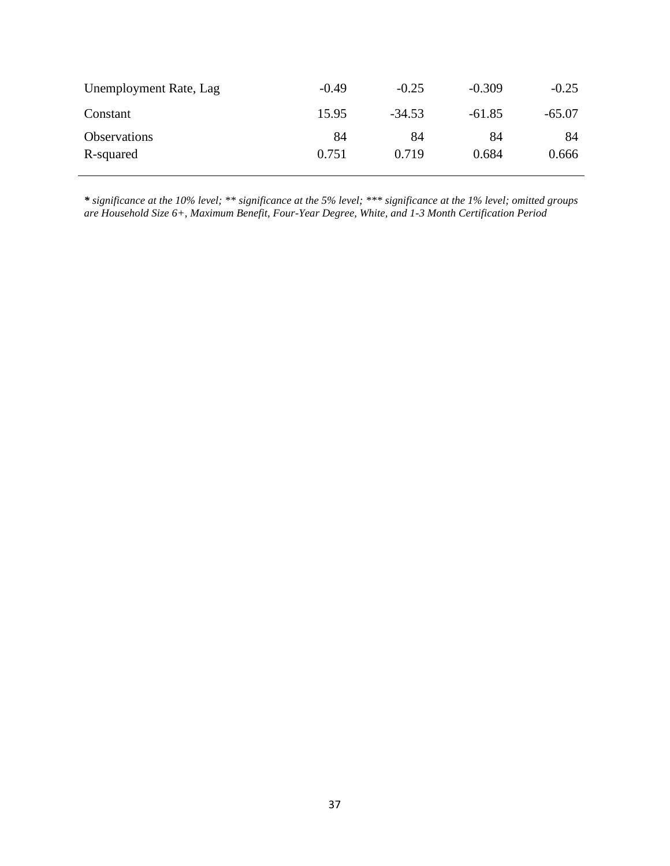| Unemployment Rate, Lag | $-0.49$ | $-0.25$  | $-0.309$ | $-0.25$  |
|------------------------|---------|----------|----------|----------|
| Constant               | 15.95   | $-34.53$ | -61.85   | $-65.07$ |
| <b>Observations</b>    | 84      | 84       | 84       | 84       |
| R-squared              | 0.751   | 0.719    | 0.684    | 0.666    |

*\* significance at the 10% level; \*\* significance at the 5% level; \*\*\* significance at the 1% level; omitted groups are Household Size 6+, Maximum Benefit, Four-Year Degree, White, and 1-3 Month Certification Period*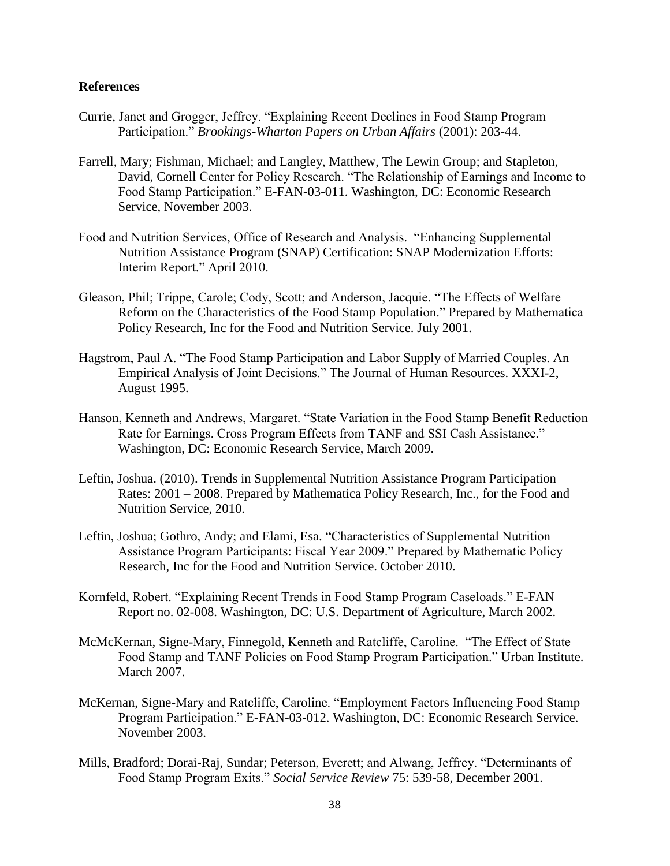### **References**

- Currie, Janet and Grogger, Jeffrey. "Explaining Recent Declines in Food Stamp Program Participation.‖ *Brookings-Wharton Papers on Urban Affairs* (2001): 203-44.
- Farrell, Mary; Fishman, Michael; and Langley, Matthew, The Lewin Group; and Stapleton, David, Cornell Center for Policy Research. "The Relationship of Earnings and Income to Food Stamp Participation." E-FAN-03-011. Washington, DC: Economic Research Service, November 2003.
- Food and Nutrition Services, Office of Research and Analysis. "Enhancing Supplemental Nutrition Assistance Program (SNAP) Certification: SNAP Modernization Efforts: Interim Report." April 2010.
- Gleason, Phil; Trippe, Carole; Cody, Scott; and Anderson, Jacquie. "The Effects of Welfare Reform on the Characteristics of the Food Stamp Population." Prepared by Mathematica Policy Research, Inc for the Food and Nutrition Service. July 2001.
- Hagstrom, Paul A. "The Food Stamp Participation and Labor Supply of Married Couples. An Empirical Analysis of Joint Decisions." The Journal of Human Resources. XXXI-2, August 1995.
- Hanson, Kenneth and Andrews, Margaret. "State Variation in the Food Stamp Benefit Reduction Rate for Earnings. Cross Program Effects from TANF and SSI Cash Assistance." Washington, DC: Economic Research Service, March 2009.
- Leftin, Joshua. (2010). Trends in Supplemental Nutrition Assistance Program Participation Rates: 2001 – 2008. Prepared by Mathematica Policy Research, Inc., for the Food and Nutrition Service, 2010.
- Leftin, Joshua; Gothro, Andy; and Elami, Esa. "Characteristics of Supplemental Nutrition Assistance Program Participants: Fiscal Year 2009." Prepared by Mathematic Policy Research, Inc for the Food and Nutrition Service. October 2010.
- Kornfeld, Robert. "Explaining Recent Trends in Food Stamp Program Caseloads." E-FAN Report no. 02-008. Washington, DC: U.S. Department of Agriculture, March 2002.
- McMcKernan, Signe-Mary, Finnegold, Kenneth and Ratcliffe, Caroline. "The Effect of State Food Stamp and TANF Policies on Food Stamp Program Participation." Urban Institute. March 2007.
- McKernan, Signe-Mary and Ratcliffe, Caroline. "Employment Factors Influencing Food Stamp Program Participation." E-FAN-03-012. Washington, DC: Economic Research Service. November 2003.
- Mills, Bradford; Dorai-Raj, Sundar; Peterson, Everett; and Alwang, Jeffrey. "Determinants of Food Stamp Program Exits.‖ *Social Service Review* 75: 539-58, December 2001.